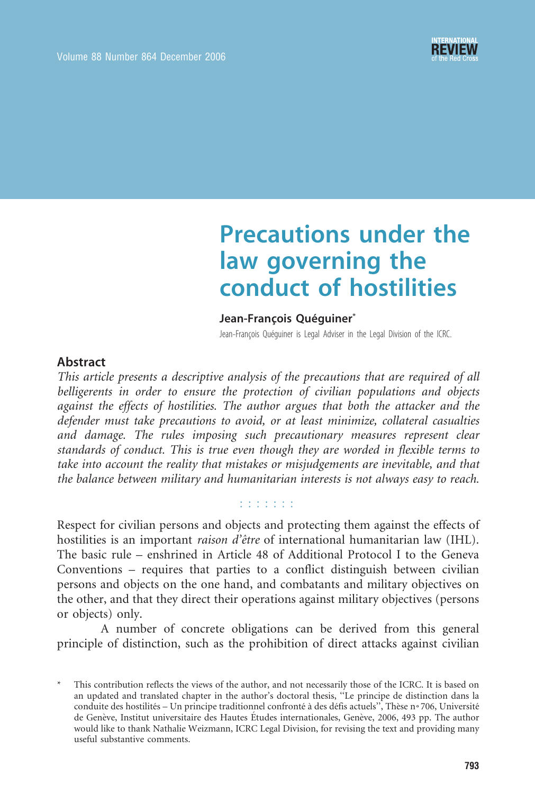

# Precautions under the law governing the conduct of hostilities

#### Jean-François Quéguiner\*

Jean-François Quéquiner is Legal Adviser in the Legal Division of the ICRC.

#### Abstract

This article presents a descriptive analysis of the precautions that are required of all belligerents in order to ensure the protection of civilian populations and objects against the effects of hostilities. The author argues that both the attacker and the defender must take precautions to avoid, or at least minimize, collateral casualties and damage. The rules imposing such precautionary measures represent clear standards of conduct. This is true even though they are worded in flexible terms to take into account the reality that mistakes or misjudgements are inevitable, and that the balance between military and humanitarian interests is not always easy to reach.

#### **Editoria**

Respect for civilian persons and objects and protecting them against the effects of hostilities is an important raison d'être of international humanitarian law (IHL). The basic rule – enshrined in Article 48 of Additional Protocol I to the Geneva Conventions – requires that parties to a conflict distinguish between civilian persons and objects on the one hand, and combatants and military objectives on the other, and that they direct their operations against military objectives (persons or objects) only.

A number of concrete obligations can be derived from this general principle of distinction, such as the prohibition of direct attacks against civilian

This contribution reflects the views of the author, and not necessarily those of the ICRC. It is based on an updated and translated chapter in the author's doctoral thesis, ''Le principe de distinction dans la conduite des hostilités – Un principe traditionnel confronté à des défis actuels'', Thèse n° 706, Université de Genève, Institut universitaire des Hautes Études internationales, Genève, 2006, 493 pp. The author would like to thank Nathalie Weizmann, ICRC Legal Division, for revising the text and providing many useful substantive comments.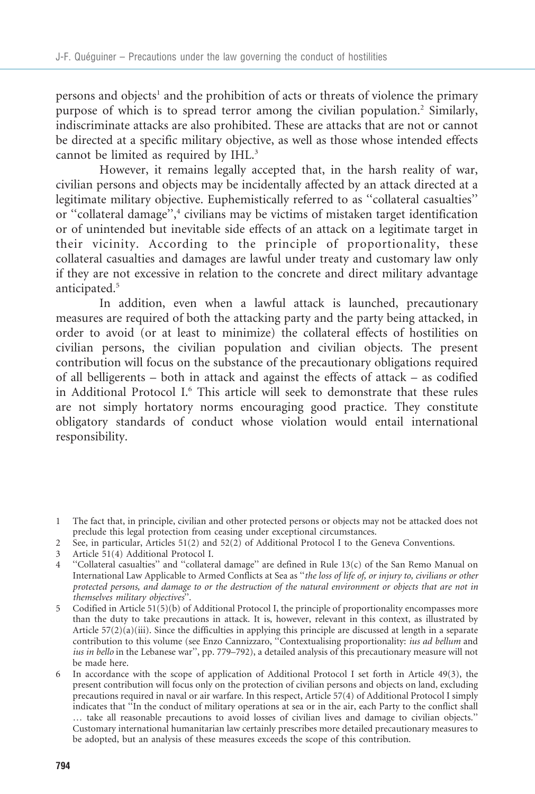persons and objects<sup>1</sup> and the prohibition of acts or threats of violence the primary purpose of which is to spread terror among the civilian population.<sup>2</sup> Similarly, indiscriminate attacks are also prohibited. These are attacks that are not or cannot be directed at a specific military objective, as well as those whose intended effects cannot be limited as required by IHL.<sup>3</sup>

However, it remains legally accepted that, in the harsh reality of war, civilian persons and objects may be incidentally affected by an attack directed at a legitimate military objective. Euphemistically referred to as ''collateral casualties'' or ''collateral damage'',4 civilians may be victims of mistaken target identification or of unintended but inevitable side effects of an attack on a legitimate target in their vicinity. According to the principle of proportionality, these collateral casualties and damages are lawful under treaty and customary law only if they are not excessive in relation to the concrete and direct military advantage anticipated.<sup>5</sup>

In addition, even when a lawful attack is launched, precautionary measures are required of both the attacking party and the party being attacked, in order to avoid (or at least to minimize) the collateral effects of hostilities on civilian persons, the civilian population and civilian objects. The present contribution will focus on the substance of the precautionary obligations required of all belligerents – both in attack and against the effects of attack – as codified in Additional Protocol I.<sup>6</sup> This article will seek to demonstrate that these rules are not simply hortatory norms encouraging good practice. They constitute obligatory standards of conduct whose violation would entail international responsibility.

2 See, in particular, Articles 51(2) and 52(2) of Additional Protocol I to the Geneva Conventions.<br>3 Article 51(4) Additional Protocol I

<sup>1</sup> The fact that, in principle, civilian and other protected persons or objects may not be attacked does not preclude this legal protection from ceasing under exceptional circumstances.

Article 51(4) Additional Protocol I.

<sup>4 &#</sup>x27;'Collateral casualties'' and ''collateral damage'' are defined in Rule 13(c) of the San Remo Manual on International Law Applicable to Armed Conflicts at Sea as ''the loss of life of, or injury to, civilians or other protected persons, and damage to or the destruction of the natural environment or objects that are not in themselves military objectives''.

<sup>5</sup> Codified in Article 51(5)(b) of Additional Protocol I, the principle of proportionality encompasses more than the duty to take precautions in attack. It is, however, relevant in this context, as illustrated by Article 57(2)(a)(iii). Since the difficulties in applying this principle are discussed at length in a separate contribution to this volume (see Enzo Cannizzaro, ''Contextualising proportionality: ius ad bellum and ius in bello in the Lebanese war'', pp. 779–792), a detailed analysis of this precautionary measure will not be made here.

<sup>6</sup> In accordance with the scope of application of Additional Protocol I set forth in Article 49(3), the present contribution will focus only on the protection of civilian persons and objects on land, excluding precautions required in naval or air warfare. In this respect, Article 57(4) of Additional Protocol I simply indicates that ''In the conduct of military operations at sea or in the air, each Party to the conflict shall … take all reasonable precautions to avoid losses of civilian lives and damage to civilian objects.'' Customary international humanitarian law certainly prescribes more detailed precautionary measures to be adopted, but an analysis of these measures exceeds the scope of this contribution.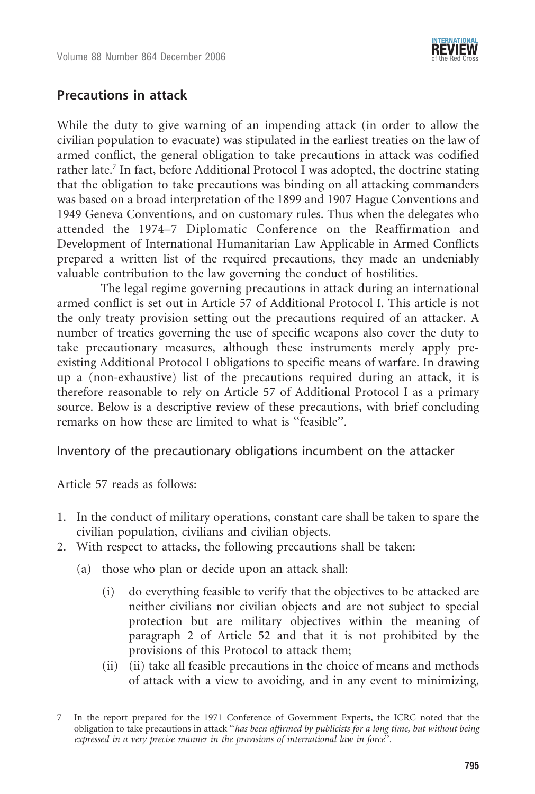

## Precautions in attack

While the duty to give warning of an impending attack (in order to allow the civilian population to evacuate) was stipulated in the earliest treaties on the law of armed conflict, the general obligation to take precautions in attack was codified rather late.<sup>7</sup> In fact, before Additional Protocol I was adopted, the doctrine stating that the obligation to take precautions was binding on all attacking commanders was based on a broad interpretation of the 1899 and 1907 Hague Conventions and 1949 Geneva Conventions, and on customary rules. Thus when the delegates who attended the 1974–7 Diplomatic Conference on the Reaffirmation and Development of International Humanitarian Law Applicable in Armed Conflicts prepared a written list of the required precautions, they made an undeniably valuable contribution to the law governing the conduct of hostilities.

The legal regime governing precautions in attack during an international armed conflict is set out in Article 57 of Additional Protocol I. This article is not the only treaty provision setting out the precautions required of an attacker. A number of treaties governing the use of specific weapons also cover the duty to take precautionary measures, although these instruments merely apply preexisting Additional Protocol I obligations to specific means of warfare. In drawing up a (non-exhaustive) list of the precautions required during an attack, it is therefore reasonable to rely on Article 57 of Additional Protocol I as a primary source. Below is a descriptive review of these precautions, with brief concluding remarks on how these are limited to what is ''feasible''.

Inventory of the precautionary obligations incumbent on the attacker

Article 57 reads as follows:

- 1. In the conduct of military operations, constant care shall be taken to spare the civilian population, civilians and civilian objects.
- 2. With respect to attacks, the following precautions shall be taken:
	- (a) those who plan or decide upon an attack shall:
		- (i) do everything feasible to verify that the objectives to be attacked are neither civilians nor civilian objects and are not subject to special protection but are military objectives within the meaning of paragraph 2 of Article 52 and that it is not prohibited by the provisions of this Protocol to attack them;
		- (ii) (ii) take all feasible precautions in the choice of means and methods of attack with a view to avoiding, and in any event to minimizing,

<sup>7</sup> In the report prepared for the 1971 Conference of Government Experts, the ICRC noted that the obligation to take precautions in attack ''has been affirmed by publicists for a long time, but without being expressed in a very precise manner in the provisions of international law in force".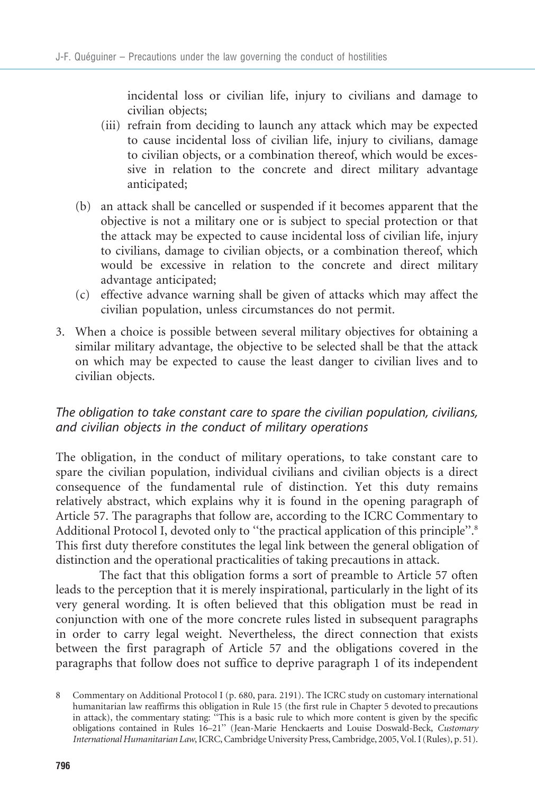incidental loss or civilian life, injury to civilians and damage to civilian objects;

- (iii) refrain from deciding to launch any attack which may be expected to cause incidental loss of civilian life, injury to civilians, damage to civilian objects, or a combination thereof, which would be excessive in relation to the concrete and direct military advantage anticipated;
- (b) an attack shall be cancelled or suspended if it becomes apparent that the objective is not a military one or is subject to special protection or that the attack may be expected to cause incidental loss of civilian life, injury to civilians, damage to civilian objects, or a combination thereof, which would be excessive in relation to the concrete and direct military advantage anticipated;
- (c) effective advance warning shall be given of attacks which may affect the civilian population, unless circumstances do not permit.
- 3. When a choice is possible between several military objectives for obtaining a similar military advantage, the objective to be selected shall be that the attack on which may be expected to cause the least danger to civilian lives and to civilian objects.

# The obligation to take constant care to spare the civilian population, civilians, and civilian objects in the conduct of military operations

The obligation, in the conduct of military operations, to take constant care to spare the civilian population, individual civilians and civilian objects is a direct consequence of the fundamental rule of distinction. Yet this duty remains relatively abstract, which explains why it is found in the opening paragraph of Article 57. The paragraphs that follow are, according to the ICRC Commentary to Additional Protocol I, devoted only to "the practical application of this principle".<sup>8</sup> This first duty therefore constitutes the legal link between the general obligation of distinction and the operational practicalities of taking precautions in attack.

The fact that this obligation forms a sort of preamble to Article 57 often leads to the perception that it is merely inspirational, particularly in the light of its very general wording. It is often believed that this obligation must be read in conjunction with one of the more concrete rules listed in subsequent paragraphs in order to carry legal weight. Nevertheless, the direct connection that exists between the first paragraph of Article 57 and the obligations covered in the paragraphs that follow does not suffice to deprive paragraph 1 of its independent

<sup>8</sup> Commentary on Additional Protocol I (p. 680, para. 2191). The ICRC study on customary international humanitarian law reaffirms this obligation in Rule 15 (the first rule in Chapter 5 devoted to precautions in attack), the commentary stating: ''This is a basic rule to which more content is given by the specific obligations contained in Rules 16–21'' (Jean-Marie Henckaerts and Louise Doswald-Beck, Customary International Humanitarian Law, ICRC, Cambridge University Press, Cambridge, 2005, Vol. I (Rules), p. 51).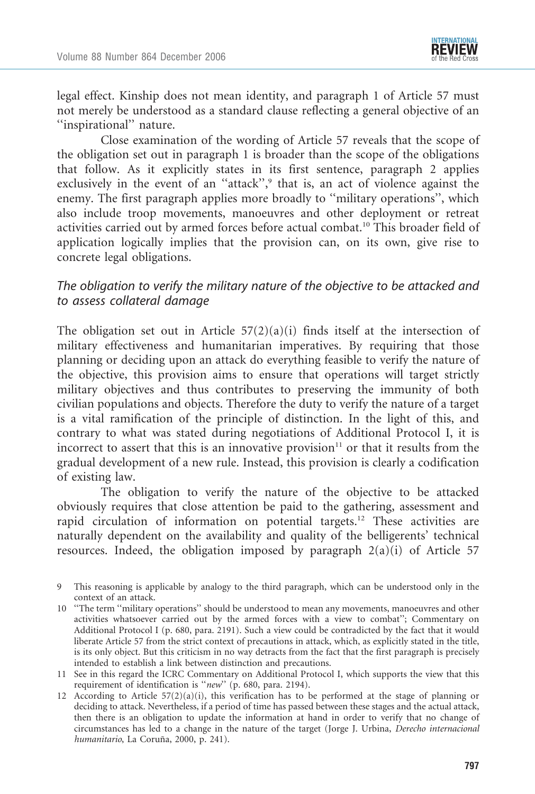

legal effect. Kinship does not mean identity, and paragraph 1 of Article 57 must not merely be understood as a standard clause reflecting a general objective of an "inspirational" nature.

Close examination of the wording of Article 57 reveals that the scope of the obligation set out in paragraph 1 is broader than the scope of the obligations that follow. As it explicitly states in its first sentence, paragraph 2 applies exclusively in the event of an "attack",<sup>9</sup> that is, an act of violence against the enemy. The first paragraph applies more broadly to ''military operations'', which also include troop movements, manoeuvres and other deployment or retreat activities carried out by armed forces before actual combat.<sup>10</sup> This broader field of application logically implies that the provision can, on its own, give rise to concrete legal obligations.

#### The obligation to verify the military nature of the objective to be attacked and to assess collateral damage

The obligation set out in Article  $57(2)(a)(i)$  finds itself at the intersection of military effectiveness and humanitarian imperatives. By requiring that those planning or deciding upon an attack do everything feasible to verify the nature of the objective, this provision aims to ensure that operations will target strictly military objectives and thus contributes to preserving the immunity of both civilian populations and objects. Therefore the duty to verify the nature of a target is a vital ramification of the principle of distinction. In the light of this, and contrary to what was stated during negotiations of Additional Protocol I, it is incorrect to assert that this is an innovative provision $11$  or that it results from the gradual development of a new rule. Instead, this provision is clearly a codification of existing law.

The obligation to verify the nature of the objective to be attacked obviously requires that close attention be paid to the gathering, assessment and rapid circulation of information on potential targets.12 These activities are naturally dependent on the availability and quality of the belligerents' technical resources. Indeed, the obligation imposed by paragraph  $2(a)(i)$  of Article 57

<sup>9</sup> This reasoning is applicable by analogy to the third paragraph, which can be understood only in the context of an attack.

<sup>10 &#</sup>x27;'The term ''military operations'' should be understood to mean any movements, manoeuvres and other activities whatsoever carried out by the armed forces with a view to combat''; Commentary on Additional Protocol I (p. 680, para. 2191). Such a view could be contradicted by the fact that it would liberate Article 57 from the strict context of precautions in attack, which, as explicitly stated in the title, is its only object. But this criticism in no way detracts from the fact that the first paragraph is precisely intended to establish a link between distinction and precautions.

<sup>11</sup> See in this regard the ICRC Commentary on Additional Protocol I, which supports the view that this requirement of identification is "new" (p. 680, para. 2194).

<sup>12</sup> According to Article  $57(2)(a)(i)$ , this verification has to be performed at the stage of planning or deciding to attack. Nevertheless, if a period of time has passed between these stages and the actual attack, then there is an obligation to update the information at hand in order to verify that no change of circumstances has led to a change in the nature of the target (Jorge J. Urbina, Derecho internacional humanitario, La Coruña, 2000, p. 241).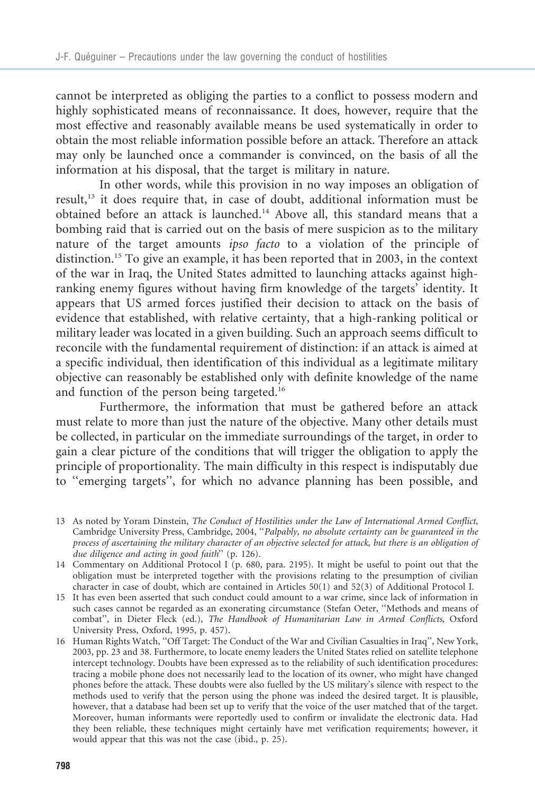cannot be interpreted as obliging the parties to a conflict to possess modern and highly sophisticated means of reconnaissance. It does, however, require that the most effective and reasonably available means be used systematically in order to obtain the most reliable information possible before an attack. Therefore an attack may only be launched once a commander is convinced, on the basis of all the information at his disposal, that the target is military in nature.

In other words, while this provision in no way imposes an obligation of result,<sup>13</sup> it does require that, in case of doubt, additional information must be obtained before an attack is launched.14 Above all, this standard means that a bombing raid that is carried out on the basis of mere suspicion as to the military nature of the target amounts ipso facto to a violation of the principle of distinction.<sup>15</sup> To give an example, it has been reported that in 2003, in the context of the war in Iraq, the United States admitted to launching attacks against highranking enemy figures without having firm knowledge of the targets' identity. It appears that US armed forces justified their decision to attack on the basis of evidence that established, with relative certainty, that a high-ranking political or military leader was located in a given building. Such an approach seems difficult to reconcile with the fundamental requirement of distinction: if an attack is aimed at a specific individual, then identification of this individual as a legitimate military objective can reasonably be established only with definite knowledge of the name and function of the person being targeted.16

Furthermore, the information that must be gathered before an attack must relate to more than just the nature of the objective. Many other details must be collected, in particular on the immediate surroundings of the target, in order to gain a clear picture of the conditions that will trigger the obligation to apply the principle of proportionality. The main difficulty in this respect is indisputably due to ''emerging targets'', for which no advance planning has been possible, and

- 13 As noted by Yoram Dinstein, The Conduct of Hostilities under the Law of International Armed Conflict, Cambridge University Press, Cambridge, 2004, ''Palpably, no absolute certainty can be guaranteed in the process of ascertaining the military character of an objective selected for attack, but there is an obligation of due diligence and acting in good faith'' (p. 126).
- 14 Commentary on Additional Protocol I (p. 680, para. 2195). It might be useful to point out that the obligation must be interpreted together with the provisions relating to the presumption of civilian character in case of doubt, which are contained in Articles 50(1) and 52(3) of Additional Protocol I.
- 15 It has even been asserted that such conduct could amount to a war crime, since lack of information in such cases cannot be regarded as an exonerating circumstance (Stefan Oeter, ''Methods and means of combat'', in Dieter Fleck (ed.), The Handbook of Humanitarian Law in Armed Conflicts, Oxford University Press, Oxford, 1995, p. 457).
- 16 Human Rights Watch, ''Off Target: The Conduct of the War and Civilian Casualties in Iraq'', New York, 2003, pp. 23 and 38. Furthermore, to locate enemy leaders the United States relied on satellite telephone intercept technology. Doubts have been expressed as to the reliability of such identification procedures: tracing a mobile phone does not necessarily lead to the location of its owner, who might have changed phones before the attack. These doubts were also fuelled by the US military's silence with respect to the methods used to verify that the person using the phone was indeed the desired target. It is plausible, however, that a database had been set up to verify that the voice of the user matched that of the target. Moreover, human informants were reportedly used to confirm or invalidate the electronic data. Had they been reliable, these techniques might certainly have met verification requirements; however, it would appear that this was not the case (ibid., p. 25).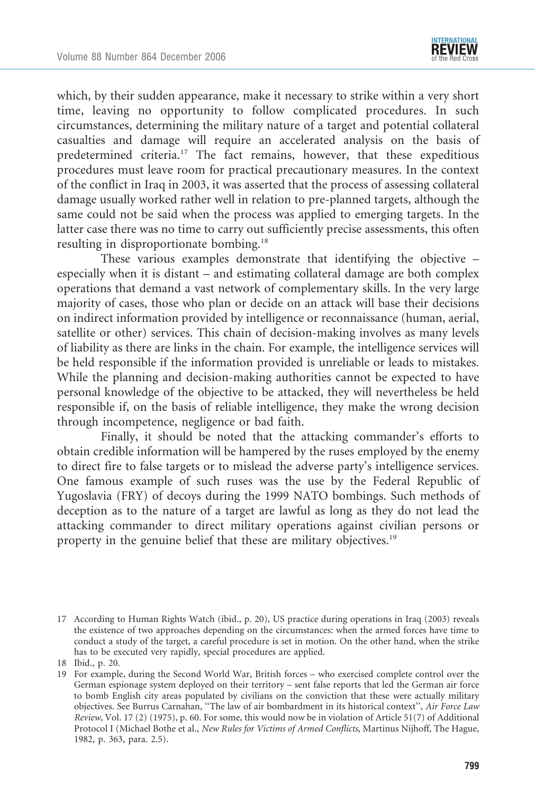

which, by their sudden appearance, make it necessary to strike within a very short time, leaving no opportunity to follow complicated procedures. In such circumstances, determining the military nature of a target and potential collateral casualties and damage will require an accelerated analysis on the basis of predetermined criteria.17 The fact remains, however, that these expeditious procedures must leave room for practical precautionary measures. In the context of the conflict in Iraq in 2003, it was asserted that the process of assessing collateral damage usually worked rather well in relation to pre-planned targets, although the same could not be said when the process was applied to emerging targets. In the latter case there was no time to carry out sufficiently precise assessments, this often resulting in disproportionate bombing.18

These various examples demonstrate that identifying the objective – especially when it is distant – and estimating collateral damage are both complex operations that demand a vast network of complementary skills. In the very large majority of cases, those who plan or decide on an attack will base their decisions on indirect information provided by intelligence or reconnaissance (human, aerial, satellite or other) services. This chain of decision-making involves as many levels of liability as there are links in the chain. For example, the intelligence services will be held responsible if the information provided is unreliable or leads to mistakes. While the planning and decision-making authorities cannot be expected to have personal knowledge of the objective to be attacked, they will nevertheless be held responsible if, on the basis of reliable intelligence, they make the wrong decision through incompetence, negligence or bad faith.

Finally, it should be noted that the attacking commander's efforts to obtain credible information will be hampered by the ruses employed by the enemy to direct fire to false targets or to mislead the adverse party's intelligence services. One famous example of such ruses was the use by the Federal Republic of Yugoslavia (FRY) of decoys during the 1999 NATO bombings. Such methods of deception as to the nature of a target are lawful as long as they do not lead the attacking commander to direct military operations against civilian persons or property in the genuine belief that these are military objectives.<sup>19</sup>

<sup>17</sup> According to Human Rights Watch (ibid., p. 20), US practice during operations in Iraq (2003) reveals the existence of two approaches depending on the circumstances: when the armed forces have time to conduct a study of the target, a careful procedure is set in motion. On the other hand, when the strike has to be executed very rapidly, special procedures are applied.

<sup>18</sup> Ibid., p. 20.

<sup>19</sup> For example, during the Second World War, British forces – who exercised complete control over the German espionage system deployed on their territory – sent false reports that led the German air force to bomb English city areas populated by civilians on the conviction that these were actually military objectives. See Burrus Carnahan, ''The law of air bombardment in its historical context'', Air Force Law Review, Vol. 17 (2) (1975), p. 60. For some, this would now be in violation of Article 51(7) of Additional Protocol I (Michael Bothe et al., New Rules for Victims of Armed Conflicts, Martinus Nijhoff, The Hague, 1982, p. 363, para. 2.5).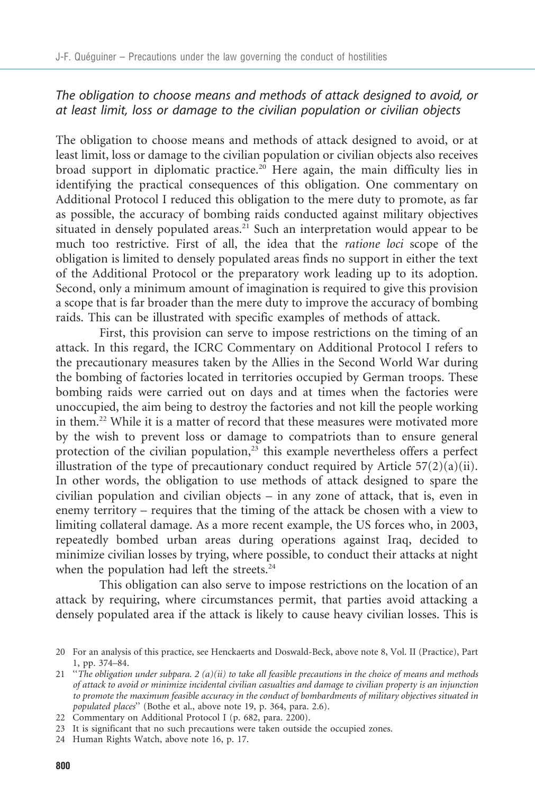# The obligation to choose means and methods of attack designed to avoid, or at least limit, loss or damage to the civilian population or civilian objects

The obligation to choose means and methods of attack designed to avoid, or at least limit, loss or damage to the civilian population or civilian objects also receives broad support in diplomatic practice.<sup>20</sup> Here again, the main difficulty lies in identifying the practical consequences of this obligation. One commentary on Additional Protocol I reduced this obligation to the mere duty to promote, as far as possible, the accuracy of bombing raids conducted against military objectives situated in densely populated areas.<sup>21</sup> Such an interpretation would appear to be much too restrictive. First of all, the idea that the ratione loci scope of the obligation is limited to densely populated areas finds no support in either the text of the Additional Protocol or the preparatory work leading up to its adoption. Second, only a minimum amount of imagination is required to give this provision a scope that is far broader than the mere duty to improve the accuracy of bombing raids. This can be illustrated with specific examples of methods of attack.

First, this provision can serve to impose restrictions on the timing of an attack. In this regard, the ICRC Commentary on Additional Protocol I refers to the precautionary measures taken by the Allies in the Second World War during the bombing of factories located in territories occupied by German troops. These bombing raids were carried out on days and at times when the factories were unoccupied, the aim being to destroy the factories and not kill the people working in them.22 While it is a matter of record that these measures were motivated more by the wish to prevent loss or damage to compatriots than to ensure general protection of the civilian population,<sup>23</sup> this example nevertheless offers a perfect illustration of the type of precautionary conduct required by Article  $57(2)(a)(ii)$ . In other words, the obligation to use methods of attack designed to spare the civilian population and civilian objects – in any zone of attack, that is, even in enemy territory – requires that the timing of the attack be chosen with a view to limiting collateral damage. As a more recent example, the US forces who, in 2003, repeatedly bombed urban areas during operations against Iraq, decided to minimize civilian losses by trying, where possible, to conduct their attacks at night when the population had left the streets.<sup>24</sup>

This obligation can also serve to impose restrictions on the location of an attack by requiring, where circumstances permit, that parties avoid attacking a densely populated area if the attack is likely to cause heavy civilian losses. This is

<sup>20</sup> For an analysis of this practice, see Henckaerts and Doswald-Beck, above note 8, Vol. II (Practice), Part 1, pp. 374–84.

<sup>21 &</sup>quot;The obligation under subpara. 2 (a)(ii) to take all feasible precautions in the choice of means and methods of attack to avoid or minimize incidental civilian casualties and damage to civilian property is an injunction to promote the maximum feasible accuracy in the conduct of bombardments of military objectives situated in populated places'' (Bothe et al., above note 19, p. 364, para. 2.6).

<sup>22</sup> Commentary on Additional Protocol I (p. 682, para. 2200).

<sup>23</sup> It is significant that no such precautions were taken outside the occupied zones.

<sup>24</sup> Human Rights Watch, above note 16, p. 17.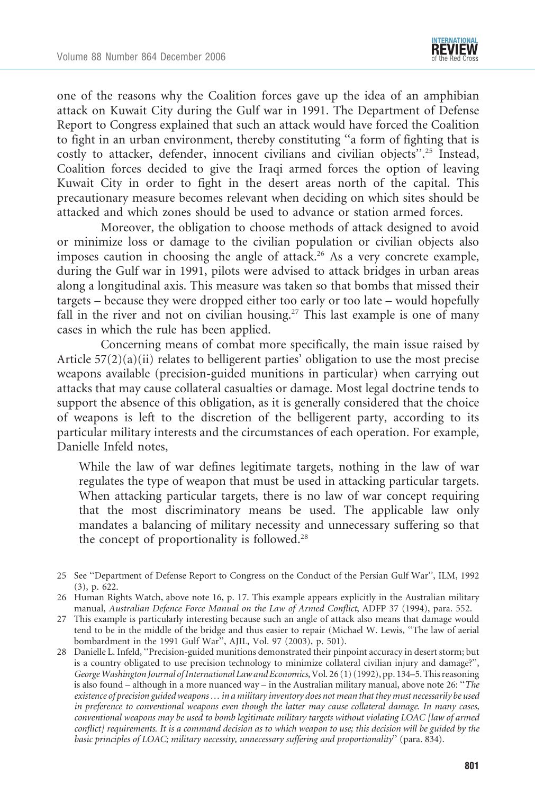

one of the reasons why the Coalition forces gave up the idea of an amphibian attack on Kuwait City during the Gulf war in 1991. The Department of Defense Report to Congress explained that such an attack would have forced the Coalition to fight in an urban environment, thereby constituting ''a form of fighting that is costly to attacker, defender, innocent civilians and civilian objects''.25 Instead, Coalition forces decided to give the Iraqi armed forces the option of leaving Kuwait City in order to fight in the desert areas north of the capital. This precautionary measure becomes relevant when deciding on which sites should be attacked and which zones should be used to advance or station armed forces.

Moreover, the obligation to choose methods of attack designed to avoid or minimize loss or damage to the civilian population or civilian objects also imposes caution in choosing the angle of attack.<sup>26</sup> As a very concrete example, during the Gulf war in 1991, pilots were advised to attack bridges in urban areas along a longitudinal axis. This measure was taken so that bombs that missed their targets – because they were dropped either too early or too late – would hopefully fall in the river and not on civilian housing.<sup>27</sup> This last example is one of many cases in which the rule has been applied.

Concerning means of combat more specifically, the main issue raised by Article 57(2)(a)(ii) relates to belligerent parties' obligation to use the most precise weapons available (precision-guided munitions in particular) when carrying out attacks that may cause collateral casualties or damage. Most legal doctrine tends to support the absence of this obligation, as it is generally considered that the choice of weapons is left to the discretion of the belligerent party, according to its particular military interests and the circumstances of each operation. For example, Danielle Infeld notes,

While the law of war defines legitimate targets, nothing in the law of war regulates the type of weapon that must be used in attacking particular targets. When attacking particular targets, there is no law of war concept requiring that the most discriminatory means be used. The applicable law only mandates a balancing of military necessity and unnecessary suffering so that the concept of proportionality is followed.<sup>28</sup>

<sup>25</sup> See ''Department of Defense Report to Congress on the Conduct of the Persian Gulf War'', ILM, 1992 (3), p. 622.

<sup>26</sup> Human Rights Watch, above note 16, p. 17. This example appears explicitly in the Australian military manual, Australian Defence Force Manual on the Law of Armed Conflict, ADFP 37 (1994), para. 552.

<sup>27</sup> This example is particularly interesting because such an angle of attack also means that damage would tend to be in the middle of the bridge and thus easier to repair (Michael W. Lewis, ''The law of aerial bombardment in the 1991 Gulf War'', AJIL, Vol. 97 (2003), p. 501).

<sup>28</sup> Danielle L. Infeld, ''Precision-guided munitions demonstrated their pinpoint accuracy in desert storm; but is a country obligated to use precision technology to minimize collateral civilian injury and damage?'', George Washington Journal of International Law and Economics, Vol. 26 (1) (1992), pp. 134–5. This reasoning is also found – although in a more nuanced way – in the Australian military manual, above note 26: "The existence of precision guided weapons… in a military inventory does not mean that they must necessarily be used in preference to conventional weapons even though the latter may cause collateral damage. In many cases, conventional weapons may be used to bomb legitimate military targets without violating LOAC [law of armed conflict] requirements. It is a command decision as to which weapon to use; this decision will be guided by the basic principles of LOAC; military necessity, unnecessary suffering and proportionality'' (para. 834).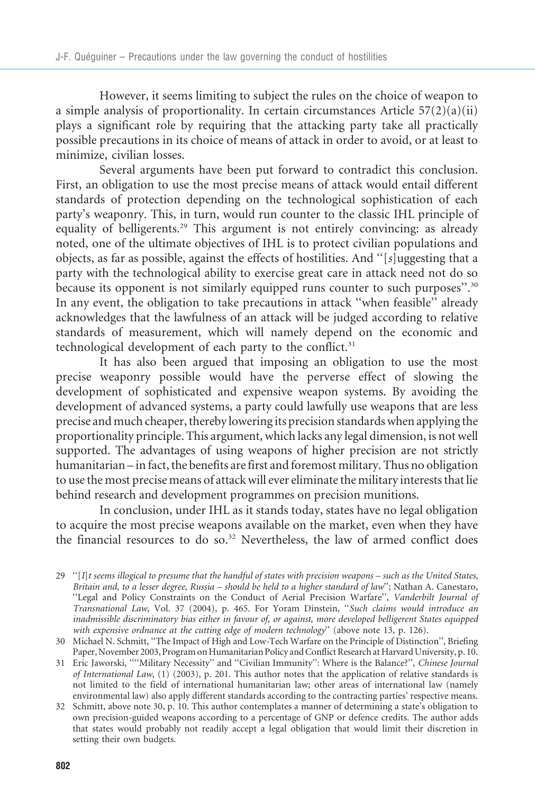However, it seems limiting to subject the rules on the choice of weapon to a simple analysis of proportionality. In certain circumstances Article  $57(2)(a)(ii)$ plays a significant role by requiring that the attacking party take all practically possible precautions in its choice of means of attack in order to avoid, or at least to minimize, civilian losses.

Several arguments have been put forward to contradict this conclusion. First, an obligation to use the most precise means of attack would entail different standards of protection depending on the technological sophistication of each party's weaponry. This, in turn, would run counter to the classic IHL principle of equality of belligerents.<sup>29</sup> This argument is not entirely convincing: as already noted, one of the ultimate objectives of IHL is to protect civilian populations and objects, as far as possible, against the effects of hostilities. And ''[s]uggesting that a party with the technological ability to exercise great care in attack need not do so because its opponent is not similarly equipped runs counter to such purposes".<sup>30</sup> In any event, the obligation to take precautions in attack "when feasible" already acknowledges that the lawfulness of an attack will be judged according to relative standards of measurement, which will namely depend on the economic and technological development of each party to the conflict.<sup>31</sup>

It has also been argued that imposing an obligation to use the most precise weaponry possible would have the perverse effect of slowing the development of sophisticated and expensive weapon systems. By avoiding the development of advanced systems, a party could lawfully use weapons that are less precise and much cheaper, thereby lowering its precision standards when applying the proportionality principle. This argument, which lacks any legal dimension, is not well supported. The advantages of using weapons of higher precision are not strictly humanitarian – in fact, the benefits are first and foremost military. Thus no obligation to use the most precise means of attack will ever eliminate the military interests that lie behind research and development programmes on precision munitions.

In conclusion, under IHL as it stands today, states have no legal obligation to acquire the most precise weapons available on the market, even when they have the financial resources to do so.<sup>32</sup> Nevertheless, the law of armed conflict does

31 Eric Jaworski, ''''Military Necessity'' and ''Civilian Immunity'': Where is the Balance?'', Chinese Journal of International Law, (1) (2003), p. 201. This author notes that the application of relative standards is not limited to the field of international humanitarian law; other areas of international law (namely environmental law) also apply different standards according to the contracting parties' respective means.

<sup>29 &#</sup>x27;'[I]t seems illogical to presume that the handful of states with precision weapons – such as the United States, Britain and, to a lesser degree, Russia – should be held to a higher standard of law''; Nathan A. Canestaro, "Legal and Policy Constraints on the Conduct of Aerial Precision Warfare", Vanderbilt Journal of Transnational Law, Vol. 37 (2004), p. 465. For Yoram Dinstein, ''Such claims would introduce an inadmissible discriminatory bias either in favour of, or against, more developed belligerent States equipped with expensive ordnance at the cutting edge of modern technology'' (above note 13, p. 126).

<sup>30</sup> Michael N. Schmitt, ''The Impact of High and Low-Tech Warfare on the Principle of Distinction'', Briefing Paper, November 2003, Program on Humanitarian Policy and Conflict Research at Harvard University, p. 10.

<sup>32</sup> Schmitt, above note 30, p. 10. This author contemplates a manner of determining a state's obligation to own precision-guided weapons according to a percentage of GNP or defence credits. The author adds that states would probably not readily accept a legal obligation that would limit their discretion in setting their own budgets.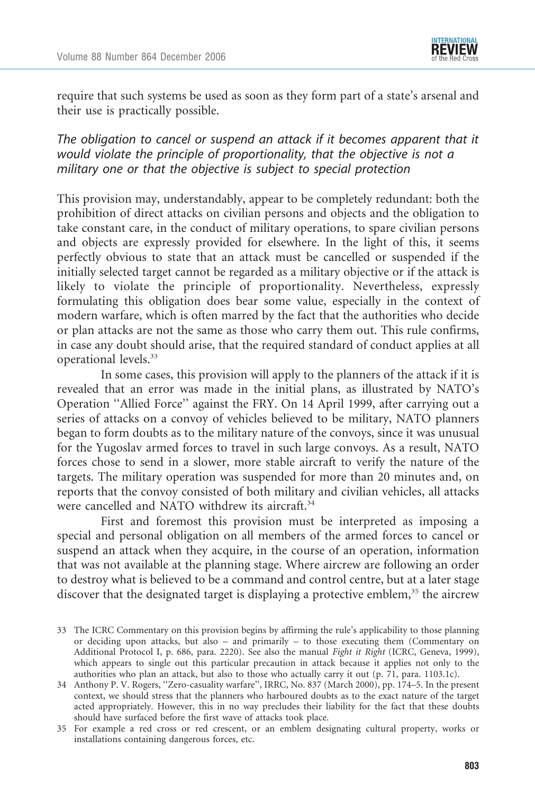

require that such systems be used as soon as they form part of a state's arsenal and their use is practically possible.

The obligation to cancel or suspend an attack if it becomes apparent that it would violate the principle of proportionality, that the objective is not a military one or that the objective is subject to special protection

This provision may, understandably, appear to be completely redundant: both the prohibition of direct attacks on civilian persons and objects and the obligation to take constant care, in the conduct of military operations, to spare civilian persons and objects are expressly provided for elsewhere. In the light of this, it seems perfectly obvious to state that an attack must be cancelled or suspended if the initially selected target cannot be regarded as a military objective or if the attack is likely to violate the principle of proportionality. Nevertheless, expressly formulating this obligation does bear some value, especially in the context of modern warfare, which is often marred by the fact that the authorities who decide or plan attacks are not the same as those who carry them out. This rule confirms, in case any doubt should arise, that the required standard of conduct applies at all operational levels.<sup>33</sup>

In some cases, this provision will apply to the planners of the attack if it is revealed that an error was made in the initial plans, as illustrated by NATO's Operation ''Allied Force'' against the FRY. On 14 April 1999, after carrying out a series of attacks on a convoy of vehicles believed to be military, NATO planners began to form doubts as to the military nature of the convoys, since it was unusual for the Yugoslav armed forces to travel in such large convoys. As a result, NATO forces chose to send in a slower, more stable aircraft to verify the nature of the targets. The military operation was suspended for more than 20 minutes and, on reports that the convoy consisted of both military and civilian vehicles, all attacks were cancelled and NATO withdrew its aircraft.<sup>34</sup>

First and foremost this provision must be interpreted as imposing a special and personal obligation on all members of the armed forces to cancel or suspend an attack when they acquire, in the course of an operation, information that was not available at the planning stage. Where aircrew are following an order to destroy what is believed to be a command and control centre, but at a later stage discover that the designated target is displaying a protective emblem, $35$  the aircrew

<sup>33</sup> The ICRC Commentary on this provision begins by affirming the rule's applicability to those planning or deciding upon attacks, but also – and primarily – to those executing them (Commentary on Additional Protocol I, p. 686, para. 2220). See also the manual Fight it Right (ICRC, Geneva, 1999), which appears to single out this particular precaution in attack because it applies not only to the authorities who plan an attack, but also to those who actually carry it out (p. 71, para. 1103.1c).

<sup>34</sup> Anthony P. V. Rogers, ''Zero-casuality warfare'', IRRC, No. 837 (March 2000), pp. 174–5. In the present context, we should stress that the planners who harboured doubts as to the exact nature of the target acted appropriately. However, this in no way precludes their liability for the fact that these doubts should have surfaced before the first wave of attacks took place.

<sup>35</sup> For example a red cross or red crescent, or an emblem designating cultural property, works or installations containing dangerous forces, etc.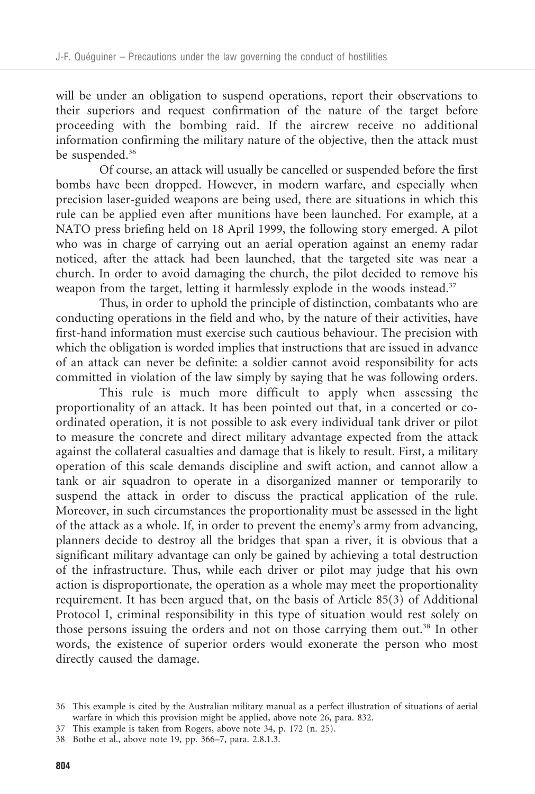will be under an obligation to suspend operations, report their observations to their superiors and request confirmation of the nature of the target before proceeding with the bombing raid. If the aircrew receive no additional information confirming the military nature of the objective, then the attack must be suspended.<sup>36</sup>

Of course, an attack will usually be cancelled or suspended before the first bombs have been dropped. However, in modern warfare, and especially when precision laser-guided weapons are being used, there are situations in which this rule can be applied even after munitions have been launched. For example, at a NATO press briefing held on 18 April 1999, the following story emerged. A pilot who was in charge of carrying out an aerial operation against an enemy radar noticed, after the attack had been launched, that the targeted site was near a church. In order to avoid damaging the church, the pilot decided to remove his weapon from the target, letting it harmlessly explode in the woods instead.<sup>37</sup>

Thus, in order to uphold the principle of distinction, combatants who are conducting operations in the field and who, by the nature of their activities, have first-hand information must exercise such cautious behaviour. The precision with which the obligation is worded implies that instructions that are issued in advance of an attack can never be definite: a soldier cannot avoid responsibility for acts committed in violation of the law simply by saying that he was following orders.

This rule is much more difficult to apply when assessing the proportionality of an attack. It has been pointed out that, in a concerted or coordinated operation, it is not possible to ask every individual tank driver or pilot to measure the concrete and direct military advantage expected from the attack against the collateral casualties and damage that is likely to result. First, a military operation of this scale demands discipline and swift action, and cannot allow a tank or air squadron to operate in a disorganized manner or temporarily to suspend the attack in order to discuss the practical application of the rule. Moreover, in such circumstances the proportionality must be assessed in the light of the attack as a whole. If, in order to prevent the enemy's army from advancing, planners decide to destroy all the bridges that span a river, it is obvious that a significant military advantage can only be gained by achieving a total destruction of the infrastructure. Thus, while each driver or pilot may judge that his own action is disproportionate, the operation as a whole may meet the proportionality requirement. It has been argued that, on the basis of Article 85(3) of Additional Protocol I, criminal responsibility in this type of situation would rest solely on those persons issuing the orders and not on those carrying them out.<sup>38</sup> In other words, the existence of superior orders would exonerate the person who most directly caused the damage.

<sup>36</sup> This example is cited by the Australian military manual as a perfect illustration of situations of aerial warfare in which this provision might be applied, above note 26, para. 832.

<sup>37</sup> This example is taken from Rogers, above note 34, p. 172 (n. 25).

<sup>38</sup> Bothe et al., above note 19, pp. 366–7, para. 2.8.1.3.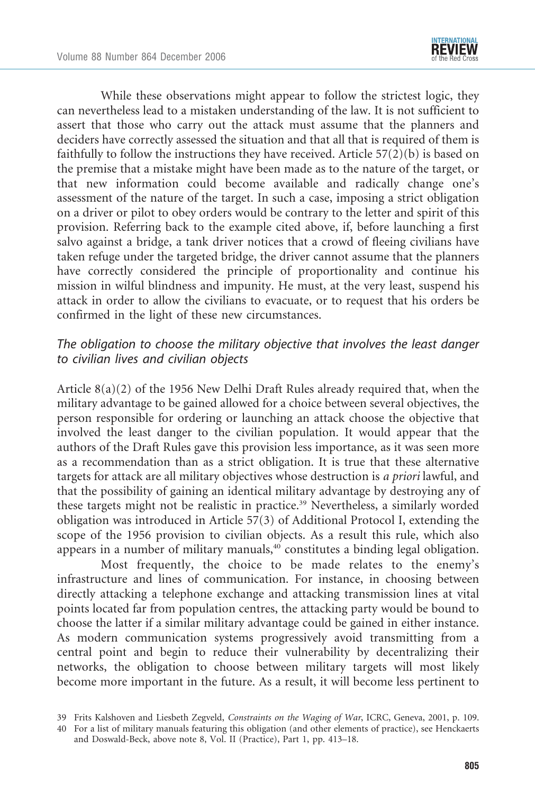

While these observations might appear to follow the strictest logic, they can nevertheless lead to a mistaken understanding of the law. It is not sufficient to assert that those who carry out the attack must assume that the planners and deciders have correctly assessed the situation and that all that is required of them is faithfully to follow the instructions they have received. Article  $57(2)(b)$  is based on the premise that a mistake might have been made as to the nature of the target, or that new information could become available and radically change one's assessment of the nature of the target. In such a case, imposing a strict obligation on a driver or pilot to obey orders would be contrary to the letter and spirit of this provision. Referring back to the example cited above, if, before launching a first salvo against a bridge, a tank driver notices that a crowd of fleeing civilians have taken refuge under the targeted bridge, the driver cannot assume that the planners have correctly considered the principle of proportionality and continue his mission in wilful blindness and impunity. He must, at the very least, suspend his attack in order to allow the civilians to evacuate, or to request that his orders be confirmed in the light of these new circumstances.

#### The obligation to choose the military objective that involves the least danger to civilian lives and civilian objects

Article 8(a)(2) of the 1956 New Delhi Draft Rules already required that, when the military advantage to be gained allowed for a choice between several objectives, the person responsible for ordering or launching an attack choose the objective that involved the least danger to the civilian population. It would appear that the authors of the Draft Rules gave this provision less importance, as it was seen more as a recommendation than as a strict obligation. It is true that these alternative targets for attack are all military objectives whose destruction is a priori lawful, and that the possibility of gaining an identical military advantage by destroying any of these targets might not be realistic in practice.<sup>39</sup> Nevertheless, a similarly worded obligation was introduced in Article 57(3) of Additional Protocol I, extending the scope of the 1956 provision to civilian objects. As a result this rule, which also appears in a number of military manuals, $40$  constitutes a binding legal obligation.

Most frequently, the choice to be made relates to the enemy's infrastructure and lines of communication. For instance, in choosing between directly attacking a telephone exchange and attacking transmission lines at vital points located far from population centres, the attacking party would be bound to choose the latter if a similar military advantage could be gained in either instance. As modern communication systems progressively avoid transmitting from a central point and begin to reduce their vulnerability by decentralizing their networks, the obligation to choose between military targets will most likely become more important in the future. As a result, it will become less pertinent to

<sup>39</sup> Frits Kalshoven and Liesbeth Zegveld, Constraints on the Waging of War, ICRC, Geneva, 2001, p. 109.

<sup>40</sup> For a list of military manuals featuring this obligation (and other elements of practice), see Henckaerts and Doswald-Beck, above note 8, Vol. II (Practice), Part 1, pp. 413–18.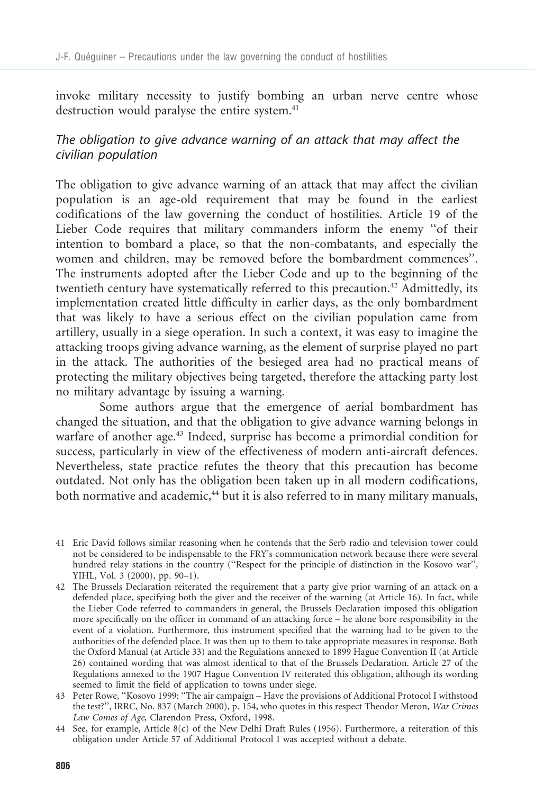invoke military necessity to justify bombing an urban nerve centre whose destruction would paralyse the entire system.<sup>41</sup>

The obligation to give advance warning of an attack that may affect the civilian population

The obligation to give advance warning of an attack that may affect the civilian population is an age-old requirement that may be found in the earliest codifications of the law governing the conduct of hostilities. Article 19 of the Lieber Code requires that military commanders inform the enemy ''of their intention to bombard a place, so that the non-combatants, and especially the women and children, may be removed before the bombardment commences''. The instruments adopted after the Lieber Code and up to the beginning of the twentieth century have systematically referred to this precaution.<sup>42</sup> Admittedly, its implementation created little difficulty in earlier days, as the only bombardment that was likely to have a serious effect on the civilian population came from artillery, usually in a siege operation. In such a context, it was easy to imagine the attacking troops giving advance warning, as the element of surprise played no part in the attack. The authorities of the besieged area had no practical means of protecting the military objectives being targeted, therefore the attacking party lost no military advantage by issuing a warning.

Some authors argue that the emergence of aerial bombardment has changed the situation, and that the obligation to give advance warning belongs in warfare of another age.<sup>43</sup> Indeed, surprise has become a primordial condition for success, particularly in view of the effectiveness of modern anti-aircraft defences. Nevertheless, state practice refutes the theory that this precaution has become outdated. Not only has the obligation been taken up in all modern codifications, both normative and academic,<sup>44</sup> but it is also referred to in many military manuals,

<sup>41</sup> Eric David follows similar reasoning when he contends that the Serb radio and television tower could not be considered to be indispensable to the FRY's communication network because there were several hundred relay stations in the country ("Respect for the principle of distinction in the Kosovo war", YIHL, Vol. 3 (2000), pp. 90–1).

<sup>42</sup> The Brussels Declaration reiterated the requirement that a party give prior warning of an attack on a defended place, specifying both the giver and the receiver of the warning (at Article 16). In fact, while the Lieber Code referred to commanders in general, the Brussels Declaration imposed this obligation more specifically on the officer in command of an attacking force – he alone bore responsibility in the event of a violation. Furthermore, this instrument specified that the warning had to be given to the authorities of the defended place. It was then up to them to take appropriate measures in response. Both the Oxford Manual (at Article 33) and the Regulations annexed to 1899 Hague Convention II (at Article 26) contained wording that was almost identical to that of the Brussels Declaration. Article 27 of the Regulations annexed to the 1907 Hague Convention IV reiterated this obligation, although its wording seemed to limit the field of application to towns under siege.

<sup>43</sup> Peter Rowe, ''Kosovo 1999: ''The air campaign – Have the provisions of Additional Protocol I withstood the test?'', IRRC, No. 837 (March 2000), p. 154, who quotes in this respect Theodor Meron, War Crimes Law Comes of Age, Clarendon Press, Oxford, 1998.

<sup>44</sup> See, for example, Article 8(c) of the New Delhi Draft Rules (1956). Furthermore, a reiteration of this obligation under Article 57 of Additional Protocol I was accepted without a debate.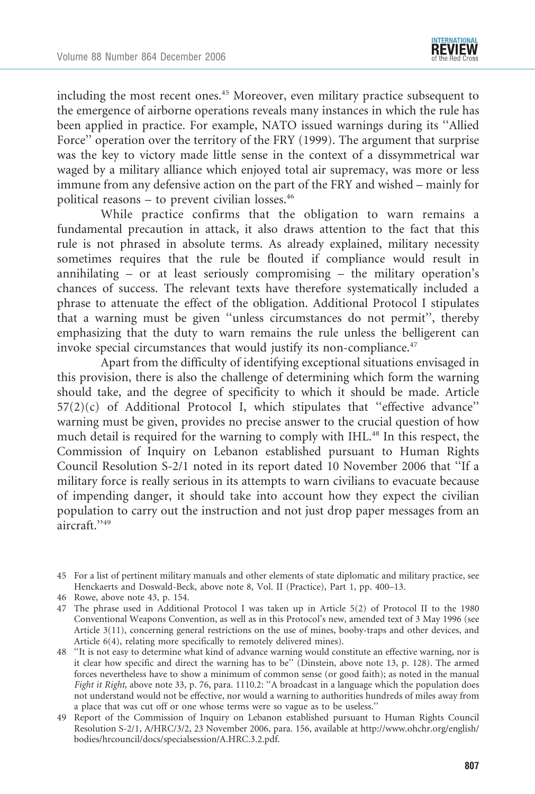including the most recent ones.<sup>45</sup> Moreover, even military practice subsequent to the emergence of airborne operations reveals many instances in which the rule has been applied in practice. For example, NATO issued warnings during its ''Allied Force'' operation over the territory of the FRY (1999). The argument that surprise was the key to victory made little sense in the context of a dissymmetrical war waged by a military alliance which enjoyed total air supremacy, was more or less immune from any defensive action on the part of the FRY and wished – mainly for political reasons – to prevent civilian losses.46

While practice confirms that the obligation to warn remains a fundamental precaution in attack, it also draws attention to the fact that this rule is not phrased in absolute terms. As already explained, military necessity sometimes requires that the rule be flouted if compliance would result in annihilating – or at least seriously compromising – the military operation's chances of success. The relevant texts have therefore systematically included a phrase to attenuate the effect of the obligation. Additional Protocol I stipulates that a warning must be given ''unless circumstances do not permit'', thereby emphasizing that the duty to warn remains the rule unless the belligerent can invoke special circumstances that would justify its non-compliance.<sup>47</sup>

Apart from the difficulty of identifying exceptional situations envisaged in this provision, there is also the challenge of determining which form the warning should take, and the degree of specificity to which it should be made. Article  $57(2)(c)$  of Additional Protocol I, which stipulates that "effective advance" warning must be given, provides no precise answer to the crucial question of how much detail is required for the warning to comply with IHL.<sup>48</sup> In this respect, the Commission of Inquiry on Lebanon established pursuant to Human Rights Council Resolution S-2/1 noted in its report dated 10 November 2006 that ''If a military force is really serious in its attempts to warn civilians to evacuate because of impending danger, it should take into account how they expect the civilian population to carry out the instruction and not just drop paper messages from an aircraft.''49

48 ''It is not easy to determine what kind of advance warning would constitute an effective warning, nor is it clear how specific and direct the warning has to be'' (Dinstein, above note 13, p. 128). The armed forces nevertheless have to show a minimum of common sense (or good faith); as noted in the manual Fight it Right, above note 33, p. 76, para. 1110.2: ''A broadcast in a language which the population does not understand would not be effective, nor would a warning to authorities hundreds of miles away from a place that was cut off or one whose terms were so vague as to be useless.''

<sup>45</sup> For a list of pertinent military manuals and other elements of state diplomatic and military practice, see Henckaerts and Doswald-Beck, above note 8, Vol. II (Practice), Part 1, pp. 400–13.

<sup>46</sup> Rowe, above note 43, p. 154.

<sup>47</sup> The phrase used in Additional Protocol I was taken up in Article 5(2) of Protocol II to the 1980 Conventional Weapons Convention, as well as in this Protocol's new, amended text of 3 May 1996 (see Article 3(11), concerning general restrictions on the use of mines, booby-traps and other devices, and Article 6(4), relating more specifically to remotely delivered mines).

<sup>49</sup> Report of the Commission of Inquiry on Lebanon established pursuant to Human Rights Council Resolution S-2/1, A/HRC/3/2, 23 November 2006, para. 156, available at http://www.ohchr.org/english/ bodies/hrcouncil/docs/specialsession/A.HRC.3.2.pdf.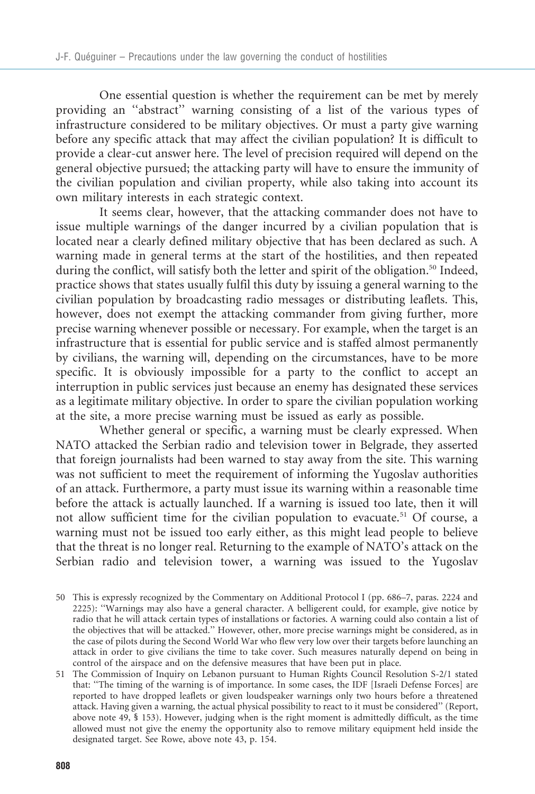One essential question is whether the requirement can be met by merely providing an ''abstract'' warning consisting of a list of the various types of infrastructure considered to be military objectives. Or must a party give warning before any specific attack that may affect the civilian population? It is difficult to provide a clear-cut answer here. The level of precision required will depend on the general objective pursued; the attacking party will have to ensure the immunity of the civilian population and civilian property, while also taking into account its own military interests in each strategic context.

It seems clear, however, that the attacking commander does not have to issue multiple warnings of the danger incurred by a civilian population that is located near a clearly defined military objective that has been declared as such. A warning made in general terms at the start of the hostilities, and then repeated during the conflict, will satisfy both the letter and spirit of the obligation.<sup>50</sup> Indeed, practice shows that states usually fulfil this duty by issuing a general warning to the civilian population by broadcasting radio messages or distributing leaflets. This, however, does not exempt the attacking commander from giving further, more precise warning whenever possible or necessary. For example, when the target is an infrastructure that is essential for public service and is staffed almost permanently by civilians, the warning will, depending on the circumstances, have to be more specific. It is obviously impossible for a party to the conflict to accept an interruption in public services just because an enemy has designated these services as a legitimate military objective. In order to spare the civilian population working at the site, a more precise warning must be issued as early as possible.

Whether general or specific, a warning must be clearly expressed. When NATO attacked the Serbian radio and television tower in Belgrade, they asserted that foreign journalists had been warned to stay away from the site. This warning was not sufficient to meet the requirement of informing the Yugoslav authorities of an attack. Furthermore, a party must issue its warning within a reasonable time before the attack is actually launched. If a warning is issued too late, then it will not allow sufficient time for the civilian population to evacuate.<sup>51</sup> Of course, a warning must not be issued too early either, as this might lead people to believe that the threat is no longer real. Returning to the example of NATO's attack on the Serbian radio and television tower, a warning was issued to the Yugoslav

<sup>50</sup> This is expressly recognized by the Commentary on Additional Protocol I (pp. 686–7, paras. 2224 and 2225): ''Warnings may also have a general character. A belligerent could, for example, give notice by radio that he will attack certain types of installations or factories. A warning could also contain a list of the objectives that will be attacked.'' However, other, more precise warnings might be considered, as in the case of pilots during the Second World War who flew very low over their targets before launching an attack in order to give civilians the time to take cover. Such measures naturally depend on being in control of the airspace and on the defensive measures that have been put in place.

<sup>51</sup> The Commission of Inquiry on Lebanon pursuant to Human Rights Council Resolution S-2/1 stated that: ''The timing of the warning is of importance. In some cases, the IDF [Israeli Defense Forces] are reported to have dropped leaflets or given loudspeaker warnings only two hours before a threatened attack. Having given a warning, the actual physical possibility to react to it must be considered'' (Report, above note  $49$ ,  $\bar{8}$  153). However, judging when is the right moment is admittedly difficult, as the time allowed must not give the enemy the opportunity also to remove military equipment held inside the designated target. See Rowe, above note 43, p. 154.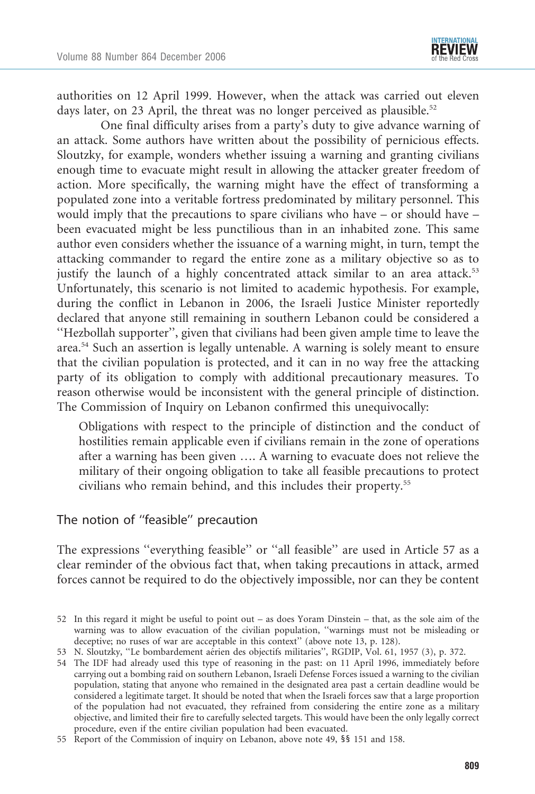authorities on 12 April 1999. However, when the attack was carried out eleven days later, on 23 April, the threat was no longer perceived as plausible.<sup>52</sup>

One final difficulty arises from a party's duty to give advance warning of an attack. Some authors have written about the possibility of pernicious effects. Sloutzky, for example, wonders whether issuing a warning and granting civilians enough time to evacuate might result in allowing the attacker greater freedom of action. More specifically, the warning might have the effect of transforming a populated zone into a veritable fortress predominated by military personnel. This would imply that the precautions to spare civilians who have – or should have – been evacuated might be less punctilious than in an inhabited zone. This same author even considers whether the issuance of a warning might, in turn, tempt the attacking commander to regard the entire zone as a military objective so as to justify the launch of a highly concentrated attack similar to an area attack.<sup>53</sup> Unfortunately, this scenario is not limited to academic hypothesis. For example, during the conflict in Lebanon in 2006, the Israeli Justice Minister reportedly declared that anyone still remaining in southern Lebanon could be considered a ''Hezbollah supporter'', given that civilians had been given ample time to leave the area.54 Such an assertion is legally untenable. A warning is solely meant to ensure that the civilian population is protected, and it can in no way free the attacking party of its obligation to comply with additional precautionary measures. To reason otherwise would be inconsistent with the general principle of distinction. The Commission of Inquiry on Lebanon confirmed this unequivocally:

Obligations with respect to the principle of distinction and the conduct of hostilities remain applicable even if civilians remain in the zone of operations after a warning has been given …. A warning to evacuate does not relieve the military of their ongoing obligation to take all feasible precautions to protect civilians who remain behind, and this includes their property.55

#### The notion of ''feasible'' precaution

The expressions ''everything feasible'' or ''all feasible'' are used in Article 57 as a clear reminder of the obvious fact that, when taking precautions in attack, armed forces cannot be required to do the objectively impossible, nor can they be content

<sup>52</sup> In this regard it might be useful to point out – as does Yoram Dinstein – that, as the sole aim of the warning was to allow evacuation of the civilian population, ''warnings must not be misleading or deceptive; no ruses of war are acceptable in this context'' (above note 13, p. 128).

<sup>53</sup> N. Sloutzky, "Le bombardement aérien des objectifs militaries", RGDIP, Vol. 61, 1957 (3), p. 372.

<sup>54</sup> The IDF had already used this type of reasoning in the past: on 11 April 1996, immediately before carrying out a bombing raid on southern Lebanon, Israeli Defense Forces issued a warning to the civilian population, stating that anyone who remained in the designated area past a certain deadline would be considered a legitimate target. It should be noted that when the Israeli forces saw that a large proportion of the population had not evacuated, they refrained from considering the entire zone as a military objective, and limited their fire to carefully selected targets. This would have been the only legally correct procedure, even if the entire civilian population had been evacuated.

<sup>55</sup> Report of the Commission of inquiry on Lebanon, above note 49, §§ 151 and 158.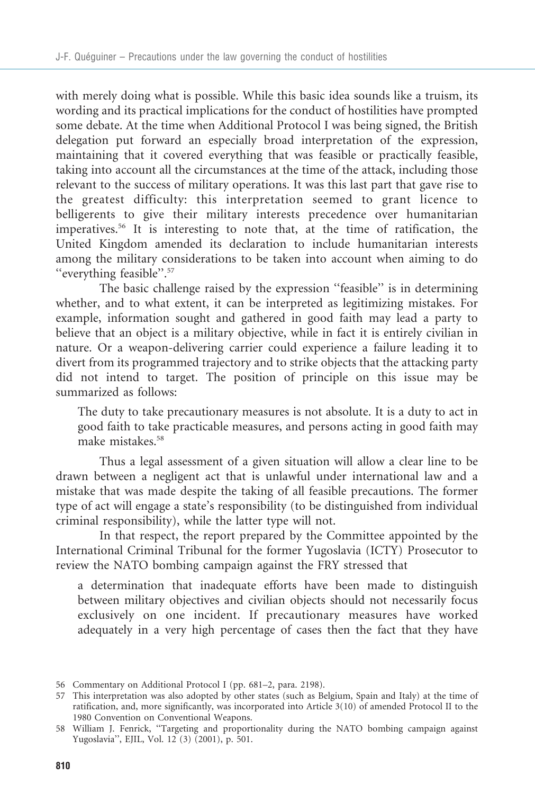with merely doing what is possible. While this basic idea sounds like a truism, its wording and its practical implications for the conduct of hostilities have prompted some debate. At the time when Additional Protocol I was being signed, the British delegation put forward an especially broad interpretation of the expression, maintaining that it covered everything that was feasible or practically feasible, taking into account all the circumstances at the time of the attack, including those relevant to the success of military operations. It was this last part that gave rise to the greatest difficulty: this interpretation seemed to grant licence to belligerents to give their military interests precedence over humanitarian imperatives.56 It is interesting to note that, at the time of ratification, the United Kingdom amended its declaration to include humanitarian interests among the military considerations to be taken into account when aiming to do "everything feasible".<sup>57</sup>

The basic challenge raised by the expression ''feasible'' is in determining whether, and to what extent, it can be interpreted as legitimizing mistakes. For example, information sought and gathered in good faith may lead a party to believe that an object is a military objective, while in fact it is entirely civilian in nature. Or a weapon-delivering carrier could experience a failure leading it to divert from its programmed trajectory and to strike objects that the attacking party did not intend to target. The position of principle on this issue may be summarized as follows:

The duty to take precautionary measures is not absolute. It is a duty to act in good faith to take practicable measures, and persons acting in good faith may make mistakes<sup>58</sup>

Thus a legal assessment of a given situation will allow a clear line to be drawn between a negligent act that is unlawful under international law and a mistake that was made despite the taking of all feasible precautions. The former type of act will engage a state's responsibility (to be distinguished from individual criminal responsibility), while the latter type will not.

In that respect, the report prepared by the Committee appointed by the International Criminal Tribunal for the former Yugoslavia (ICTY) Prosecutor to review the NATO bombing campaign against the FRY stressed that

a determination that inadequate efforts have been made to distinguish between military objectives and civilian objects should not necessarily focus exclusively on one incident. If precautionary measures have worked adequately in a very high percentage of cases then the fact that they have

<sup>56</sup> Commentary on Additional Protocol I (pp. 681–2, para. 2198).

<sup>57</sup> This interpretation was also adopted by other states (such as Belgium, Spain and Italy) at the time of ratification, and, more significantly, was incorporated into Article 3(10) of amended Protocol II to the 1980 Convention on Conventional Weapons.

<sup>58</sup> William J. Fenrick, ''Targeting and proportionality during the NATO bombing campaign against Yugoslavia'', EJIL, Vol. 12 (3) (2001), p. 501.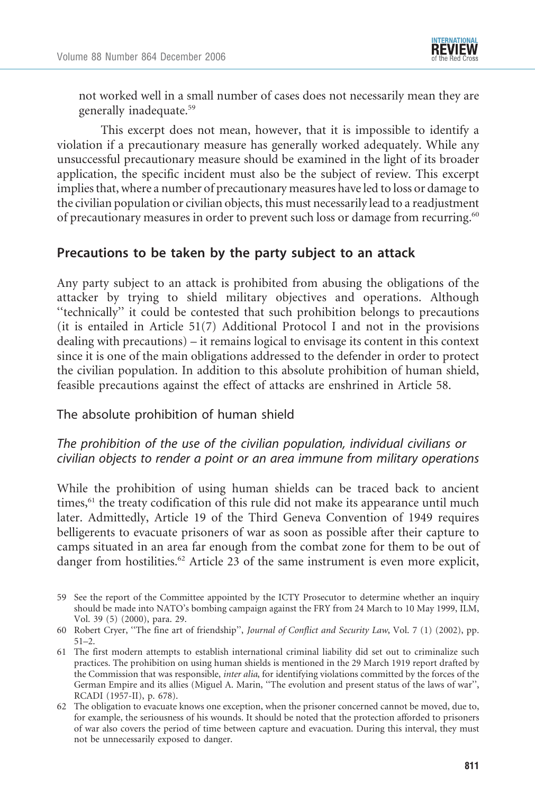not worked well in a small number of cases does not necessarily mean they are generally inadequate.59

This excerpt does not mean, however, that it is impossible to identify a violation if a precautionary measure has generally worked adequately. While any unsuccessful precautionary measure should be examined in the light of its broader application, the specific incident must also be the subject of review. This excerpt implies that, where a number of precautionary measures have led to loss or damage to the civilian population or civilian objects, this must necessarily lead to a readjustment of precautionary measures in order to prevent such loss or damage from recurring.<sup>60</sup>

# Precautions to be taken by the party subject to an attack

Any party subject to an attack is prohibited from abusing the obligations of the attacker by trying to shield military objectives and operations. Although ''technically'' it could be contested that such prohibition belongs to precautions (it is entailed in Article 51(7) Additional Protocol I and not in the provisions dealing with precautions) – it remains logical to envisage its content in this context since it is one of the main obligations addressed to the defender in order to protect the civilian population. In addition to this absolute prohibition of human shield, feasible precautions against the effect of attacks are enshrined in Article 58.

The absolute prohibition of human shield

#### The prohibition of the use of the civilian population, individual civilians or civilian objects to render a point or an area immune from military operations

While the prohibition of using human shields can be traced back to ancient times,<sup>61</sup> the treaty codification of this rule did not make its appearance until much later. Admittedly, Article 19 of the Third Geneva Convention of 1949 requires belligerents to evacuate prisoners of war as soon as possible after their capture to camps situated in an area far enough from the combat zone for them to be out of danger from hostilities.<sup>62</sup> Article  $2\overline{3}$  of the same instrument is even more explicit,

<sup>59</sup> See the report of the Committee appointed by the ICTY Prosecutor to determine whether an inquiry should be made into NATO's bombing campaign against the FRY from 24 March to 10 May 1999, ILM, Vol. 39 (5) (2000), para. 29.

<sup>60</sup> Robert Cryer, ''The fine art of friendship'', Journal of Conflict and Security Law, Vol. 7 (1) (2002), pp. 51–2.

<sup>61</sup> The first modern attempts to establish international criminal liability did set out to criminalize such practices. The prohibition on using human shields is mentioned in the 29 March 1919 report drafted by the Commission that was responsible, inter alia, for identifying violations committed by the forces of the German Empire and its allies (Miguel A. Marin, ''The evolution and present status of the laws of war'', RCADI (1957-II), p. 678).

<sup>62</sup> The obligation to evacuate knows one exception, when the prisoner concerned cannot be moved, due to, for example, the seriousness of his wounds. It should be noted that the protection afforded to prisoners of war also covers the period of time between capture and evacuation. During this interval, they must not be unnecessarily exposed to danger.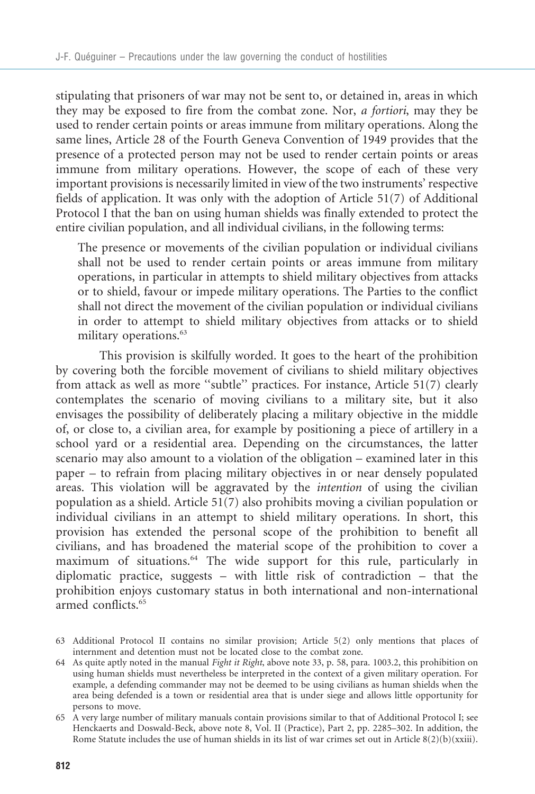stipulating that prisoners of war may not be sent to, or detained in, areas in which they may be exposed to fire from the combat zone. Nor, a fortiori, may they be used to render certain points or areas immune from military operations. Along the same lines, Article 28 of the Fourth Geneva Convention of 1949 provides that the presence of a protected person may not be used to render certain points or areas immune from military operations. However, the scope of each of these very important provisions is necessarily limited in view of the two instruments' respective fields of application. It was only with the adoption of Article 51(7) of Additional Protocol I that the ban on using human shields was finally extended to protect the entire civilian population, and all individual civilians, in the following terms:

The presence or movements of the civilian population or individual civilians shall not be used to render certain points or areas immune from military operations, in particular in attempts to shield military objectives from attacks or to shield, favour or impede military operations. The Parties to the conflict shall not direct the movement of the civilian population or individual civilians in order to attempt to shield military objectives from attacks or to shield military operations.<sup>63</sup>

This provision is skilfully worded. It goes to the heart of the prohibition by covering both the forcible movement of civilians to shield military objectives from attack as well as more ''subtle'' practices. For instance, Article 51(7) clearly contemplates the scenario of moving civilians to a military site, but it also envisages the possibility of deliberately placing a military objective in the middle of, or close to, a civilian area, for example by positioning a piece of artillery in a school yard or a residential area. Depending on the circumstances, the latter scenario may also amount to a violation of the obligation – examined later in this paper – to refrain from placing military objectives in or near densely populated areas. This violation will be aggravated by the intention of using the civilian population as a shield. Article 51(7) also prohibits moving a civilian population or individual civilians in an attempt to shield military operations. In short, this provision has extended the personal scope of the prohibition to benefit all civilians, and has broadened the material scope of the prohibition to cover a maximum of situations.<sup>64</sup> The wide support for this rule, particularly in diplomatic practice, suggests – with little risk of contradiction – that the prohibition enjoys customary status in both international and non-international armed conflicts.<sup>65</sup>

<sup>63</sup> Additional Protocol II contains no similar provision; Article 5(2) only mentions that places of internment and detention must not be located close to the combat zone.

<sup>64</sup> As quite aptly noted in the manual Fight it Right, above note 33, p. 58, para. 1003.2, this prohibition on using human shields must nevertheless be interpreted in the context of a given military operation. For example, a defending commander may not be deemed to be using civilians as human shields when the area being defended is a town or residential area that is under siege and allows little opportunity for persons to move.

<sup>65</sup> A very large number of military manuals contain provisions similar to that of Additional Protocol I; see Henckaerts and Doswald-Beck, above note 8, Vol. II (Practice), Part 2, pp. 2285–302. In addition, the Rome Statute includes the use of human shields in its list of war crimes set out in Article  $8(2)(b)(xxiii)$ .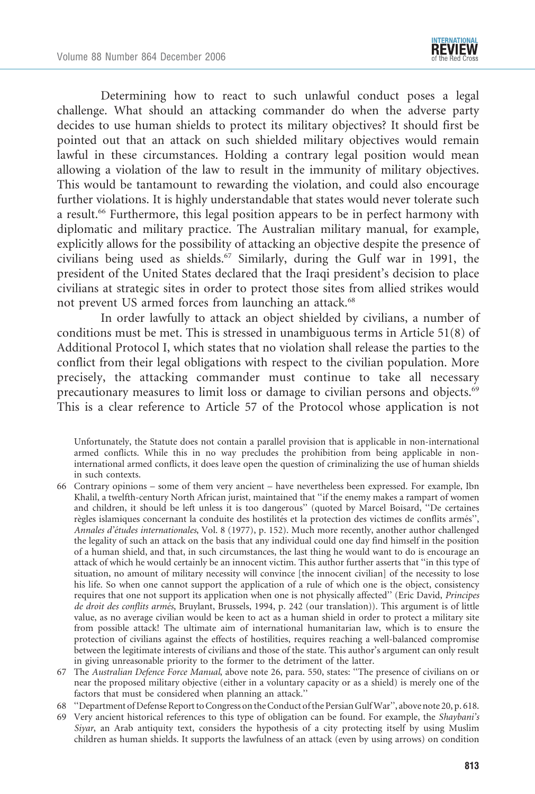

Determining how to react to such unlawful conduct poses a legal challenge. What should an attacking commander do when the adverse party decides to use human shields to protect its military objectives? It should first be pointed out that an attack on such shielded military objectives would remain lawful in these circumstances. Holding a contrary legal position would mean allowing a violation of the law to result in the immunity of military objectives. This would be tantamount to rewarding the violation, and could also encourage further violations. It is highly understandable that states would never tolerate such a result.<sup>66</sup> Furthermore, this legal position appears to be in perfect harmony with diplomatic and military practice. The Australian military manual, for example, explicitly allows for the possibility of attacking an objective despite the presence of civilians being used as shields.<sup>67</sup> Similarly, during the Gulf war in 1991, the president of the United States declared that the Iraqi president's decision to place civilians at strategic sites in order to protect those sites from allied strikes would not prevent US armed forces from launching an attack.<sup>68</sup>

In order lawfully to attack an object shielded by civilians, a number of conditions must be met. This is stressed in unambiguous terms in Article 51(8) of Additional Protocol I, which states that no violation shall release the parties to the conflict from their legal obligations with respect to the civilian population. More precisely, the attacking commander must continue to take all necessary precautionary measures to limit loss or damage to civilian persons and objects.69 This is a clear reference to Article 57 of the Protocol whose application is not

Unfortunately, the Statute does not contain a parallel provision that is applicable in non-international armed conflicts. While this in no way precludes the prohibition from being applicable in noninternational armed conflicts, it does leave open the question of criminalizing the use of human shields in such contexts.

- 66 Contrary opinions some of them very ancient have nevertheless been expressed. For example, Ibn Khalil, a twelfth-century North African jurist, maintained that ''if the enemy makes a rampart of women and children, it should be left unless it is too dangerous'' (quoted by Marcel Boisard, ''De certaines règles islamiques concernant la conduite des hostilités et la protection des victimes de conflits armés", Annales d'e´tudes internationales, Vol. 8 (1977), p. 152). Much more recently, another author challenged the legality of such an attack on the basis that any individual could one day find himself in the position of a human shield, and that, in such circumstances, the last thing he would want to do is encourage an attack of which he would certainly be an innocent victim. This author further asserts that ''in this type of situation, no amount of military necessity will convince [the innocent civilian] of the necessity to lose his life. So when one cannot support the application of a rule of which one is the object, consistency requires that one not support its application when one is not physically affected'' (Eric David, Principes de droit des conflits armés, Bruylant, Brussels, 1994, p. 242 (our translation)). This argument is of little value, as no average civilian would be keen to act as a human shield in order to protect a military site from possible attack! The ultimate aim of international humanitarian law, which is to ensure the protection of civilians against the effects of hostilities, requires reaching a well-balanced compromise between the legitimate interests of civilians and those of the state. This author's argument can only result in giving unreasonable priority to the former to the detriment of the latter.
- 67 The Australian Defence Force Manual, above note 26, para. 550, states: "The presence of civilians on or near the proposed military objective (either in a voluntary capacity or as a shield) is merely one of the factors that must be considered when planning an attack.''
- 68 ''Department of Defense Report to Congress on the Conduct of the Persian Gulf War'', above note 20, p. 618.
- 69 Very ancient historical references to this type of obligation can be found. For example, the Shaybani's Siyar, an Arab antiquity text, considers the hypothesis of a city protecting itself by using Muslim children as human shields. It supports the lawfulness of an attack (even by using arrows) on condition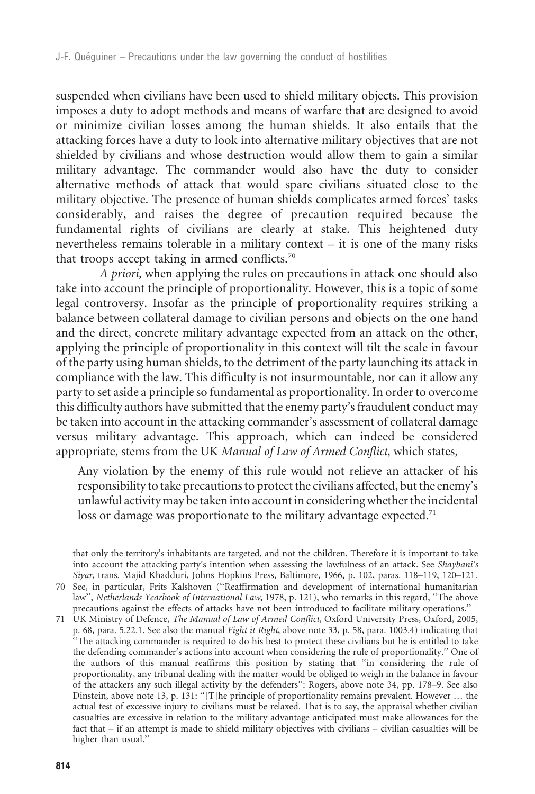suspended when civilians have been used to shield military objects. This provision imposes a duty to adopt methods and means of warfare that are designed to avoid or minimize civilian losses among the human shields. It also entails that the attacking forces have a duty to look into alternative military objectives that are not shielded by civilians and whose destruction would allow them to gain a similar military advantage. The commander would also have the duty to consider alternative methods of attack that would spare civilians situated close to the military objective. The presence of human shields complicates armed forces' tasks considerably, and raises the degree of precaution required because the fundamental rights of civilians are clearly at stake. This heightened duty nevertheless remains tolerable in a military context – it is one of the many risks that troops accept taking in armed conflicts.<sup>70</sup>

A priori, when applying the rules on precautions in attack one should also take into account the principle of proportionality. However, this is a topic of some legal controversy. Insofar as the principle of proportionality requires striking a balance between collateral damage to civilian persons and objects on the one hand and the direct, concrete military advantage expected from an attack on the other, applying the principle of proportionality in this context will tilt the scale in favour of the party using human shields, to the detriment of the party launching its attack in compliance with the law. This difficulty is not insurmountable, nor can it allow any party to set aside a principle so fundamental as proportionality. In order to overcome this difficulty authors have submitted that the enemy party's fraudulent conduct may be taken into account in the attacking commander's assessment of collateral damage versus military advantage. This approach, which can indeed be considered appropriate, stems from the UK Manual of Law of Armed Conflict, which states,

Any violation by the enemy of this rule would not relieve an attacker of his responsibility to take precautions to protect the civilians affected, but the enemy's unlawful activity may be taken into account in considering whether the incidental loss or damage was proportionate to the military advantage expected.<sup>71</sup>

70 See, in particular, Frits Kalshoven (''Reaffirmation and development of international humanitarian that only the territory's inhabitants are targeted, and not the children. Therefore it is important to take into account the attacking party's intention when assessing the lawfulness of an attack. See Shaybani's Siyar, trans. Majid Khadduri, Johns Hopkins Press, Baltimore, 1966, p. 102, paras. 118–119, 120–121.

law'', Netherlands Yearbook of International Law, 1978, p. 121), who remarks in this regard, ''The above precautions against the effects of attacks have not been introduced to facilitate military operations.''

71 UK Ministry of Defence, The Manual of Law of Armed Conflict, Oxford University Press, Oxford, 2005, p. 68, para. 5.22.1. See also the manual *Fight it Right*, above note 33, p. 58, para. 1003.4) indicating that ''The attacking commander is required to do his best to protect these civilians but he is entitled to take the defending commander's actions into account when considering the rule of proportionality.'' One of the authors of this manual reaffirms this position by stating that ''in considering the rule of proportionality, any tribunal dealing with the matter would be obliged to weigh in the balance in favour of the attackers any such illegal activity by the defenders'': Rogers, above note 34, pp. 178–9. See also Dinstein, above note 13, p. 131: ''[T]he principle of proportionality remains prevalent. However … the actual test of excessive injury to civilians must be relaxed. That is to say, the appraisal whether civilian casualties are excessive in relation to the military advantage anticipated must make allowances for the fact that – if an attempt is made to shield military objectives with civilians – civilian casualties will be higher than usual.''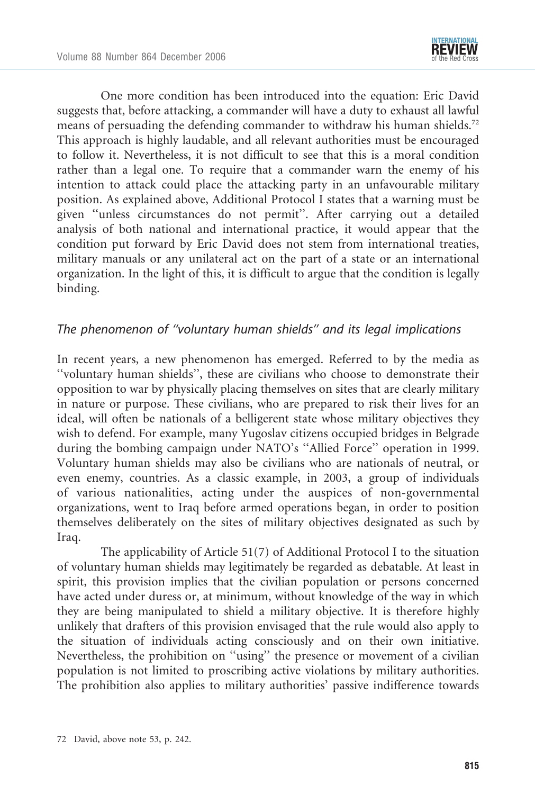

One more condition has been introduced into the equation: Eric David suggests that, before attacking, a commander will have a duty to exhaust all lawful means of persuading the defending commander to withdraw his human shields.<sup>72</sup> This approach is highly laudable, and all relevant authorities must be encouraged to follow it. Nevertheless, it is not difficult to see that this is a moral condition rather than a legal one. To require that a commander warn the enemy of his intention to attack could place the attacking party in an unfavourable military position. As explained above, Additional Protocol I states that a warning must be given ''unless circumstances do not permit''. After carrying out a detailed analysis of both national and international practice, it would appear that the condition put forward by Eric David does not stem from international treaties, military manuals or any unilateral act on the part of a state or an international organization. In the light of this, it is difficult to argue that the condition is legally binding.

# The phenomenon of ''voluntary human shields'' and its legal implications

In recent years, a new phenomenon has emerged. Referred to by the media as ''voluntary human shields'', these are civilians who choose to demonstrate their opposition to war by physically placing themselves on sites that are clearly military in nature or purpose. These civilians, who are prepared to risk their lives for an ideal, will often be nationals of a belligerent state whose military objectives they wish to defend. For example, many Yugoslav citizens occupied bridges in Belgrade during the bombing campaign under NATO's ''Allied Force'' operation in 1999. Voluntary human shields may also be civilians who are nationals of neutral, or even enemy, countries. As a classic example, in 2003, a group of individuals of various nationalities, acting under the auspices of non-governmental organizations, went to Iraq before armed operations began, in order to position themselves deliberately on the sites of military objectives designated as such by Iraq.

The applicability of Article 51(7) of Additional Protocol I to the situation of voluntary human shields may legitimately be regarded as debatable. At least in spirit, this provision implies that the civilian population or persons concerned have acted under duress or, at minimum, without knowledge of the way in which they are being manipulated to shield a military objective. It is therefore highly unlikely that drafters of this provision envisaged that the rule would also apply to the situation of individuals acting consciously and on their own initiative. Nevertheless, the prohibition on ''using'' the presence or movement of a civilian population is not limited to proscribing active violations by military authorities. The prohibition also applies to military authorities' passive indifference towards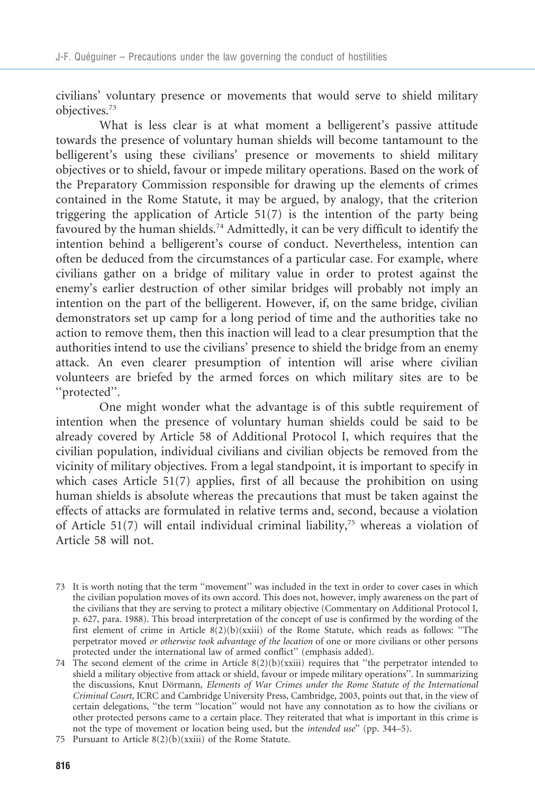civilians' voluntary presence or movements that would serve to shield military objectives.73

What is less clear is at what moment a belligerent's passive attitude towards the presence of voluntary human shields will become tantamount to the belligerent's using these civilians' presence or movements to shield military objectives or to shield, favour or impede military operations. Based on the work of the Preparatory Commission responsible for drawing up the elements of crimes contained in the Rome Statute, it may be argued, by analogy, that the criterion triggering the application of Article  $51(7)$  is the intention of the party being favoured by the human shields.<sup>74</sup> Admittedly, it can be very difficult to identify the intention behind a belligerent's course of conduct. Nevertheless, intention can often be deduced from the circumstances of a particular case. For example, where civilians gather on a bridge of military value in order to protest against the enemy's earlier destruction of other similar bridges will probably not imply an intention on the part of the belligerent. However, if, on the same bridge, civilian demonstrators set up camp for a long period of time and the authorities take no action to remove them, then this inaction will lead to a clear presumption that the authorities intend to use the civilians' presence to shield the bridge from an enemy attack. An even clearer presumption of intention will arise where civilian volunteers are briefed by the armed forces on which military sites are to be ''protected''.

One might wonder what the advantage is of this subtle requirement of intention when the presence of voluntary human shields could be said to be already covered by Article 58 of Additional Protocol I, which requires that the civilian population, individual civilians and civilian objects be removed from the vicinity of military objectives. From a legal standpoint, it is important to specify in which cases Article 51(7) applies, first of all because the prohibition on using human shields is absolute whereas the precautions that must be taken against the effects of attacks are formulated in relative terms and, second, because a violation of Article 51(7) will entail individual criminal liability, $75$  whereas a violation of Article 58 will not.

- 73 It is worth noting that the term ''movement'' was included in the text in order to cover cases in which the civilian population moves of its own accord. This does not, however, imply awareness on the part of the civilians that they are serving to protect a military objective (Commentary on Additional Protocol I, p. 627, para. 1988). This broad interpretation of the concept of use is confirmed by the wording of the first element of crime in Article  $8(2)(b)(xxiii)$  of the Rome Statute, which reads as follows: "The perpetrator moved or otherwise took advantage of the location of one or more civilians or other persons protected under the international law of armed conflict'' (emphasis added).
- 74 The second element of the crime in Article  $8(2)(b)(xxiii)$  requires that "the perpetrator intended to shield a military objective from attack or shield, favour or impede military operations''. In summarizing the discussions, Knut Dörmann, Elements of War Crimes under the Rome Statute of the International Criminal Court, ICRC and Cambridge University Press, Cambridge, 2003, points out that, in the view of certain delegations, ''the term ''location'' would not have any connotation as to how the civilians or other protected persons came to a certain place. They reiterated that what is important in this crime is not the type of movement or location being used, but the intended use'' (pp. 344–5).

75 Pursuant to Article 8(2)(b)(xxiii) of the Rome Statute.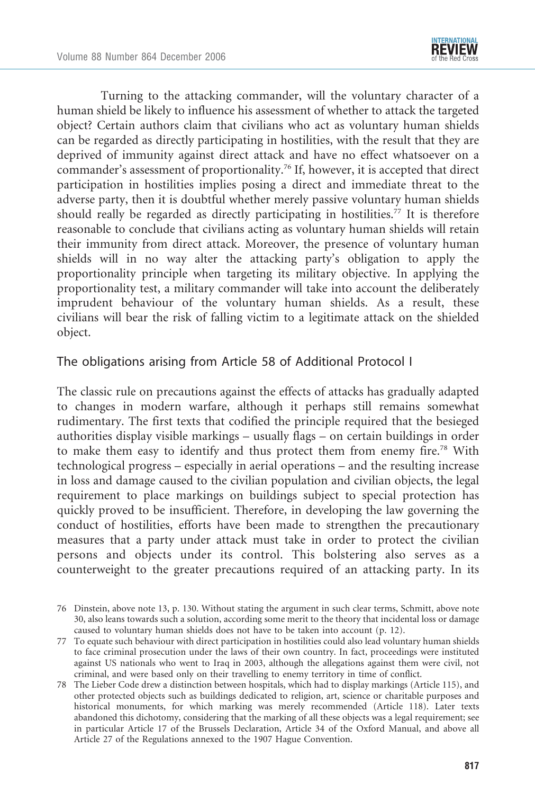

Turning to the attacking commander, will the voluntary character of a human shield be likely to influence his assessment of whether to attack the targeted object? Certain authors claim that civilians who act as voluntary human shields can be regarded as directly participating in hostilities, with the result that they are deprived of immunity against direct attack and have no effect whatsoever on a commander's assessment of proportionality.76 If, however, it is accepted that direct participation in hostilities implies posing a direct and immediate threat to the adverse party, then it is doubtful whether merely passive voluntary human shields should really be regarded as directly participating in hostilities.<sup>77</sup> It is therefore reasonable to conclude that civilians acting as voluntary human shields will retain their immunity from direct attack. Moreover, the presence of voluntary human shields will in no way alter the attacking party's obligation to apply the proportionality principle when targeting its military objective. In applying the proportionality test, a military commander will take into account the deliberately imprudent behaviour of the voluntary human shields. As a result, these civilians will bear the risk of falling victim to a legitimate attack on the shielded object.

#### The obligations arising from Article 58 of Additional Protocol I

The classic rule on precautions against the effects of attacks has gradually adapted to changes in modern warfare, although it perhaps still remains somewhat rudimentary. The first texts that codified the principle required that the besieged authorities display visible markings – usually flags – on certain buildings in order to make them easy to identify and thus protect them from enemy fire.78 With technological progress – especially in aerial operations – and the resulting increase in loss and damage caused to the civilian population and civilian objects, the legal requirement to place markings on buildings subject to special protection has quickly proved to be insufficient. Therefore, in developing the law governing the conduct of hostilities, efforts have been made to strengthen the precautionary measures that a party under attack must take in order to protect the civilian persons and objects under its control. This bolstering also serves as a counterweight to the greater precautions required of an attacking party. In its

<sup>76</sup> Dinstein, above note 13, p. 130. Without stating the argument in such clear terms, Schmitt, above note 30, also leans towards such a solution, according some merit to the theory that incidental loss or damage caused to voluntary human shields does not have to be taken into account (p. 12).

<sup>77</sup> To equate such behaviour with direct participation in hostilities could also lead voluntary human shields to face criminal prosecution under the laws of their own country. In fact, proceedings were instituted against US nationals who went to Iraq in 2003, although the allegations against them were civil, not criminal, and were based only on their travelling to enemy territory in time of conflict.

<sup>78</sup> The Lieber Code drew a distinction between hospitals, which had to display markings (Article 115), and other protected objects such as buildings dedicated to religion, art, science or charitable purposes and historical monuments, for which marking was merely recommended (Article 118). Later texts abandoned this dichotomy, considering that the marking of all these objects was a legal requirement; see in particular Article 17 of the Brussels Declaration, Article 34 of the Oxford Manual, and above all Article 27 of the Regulations annexed to the 1907 Hague Convention.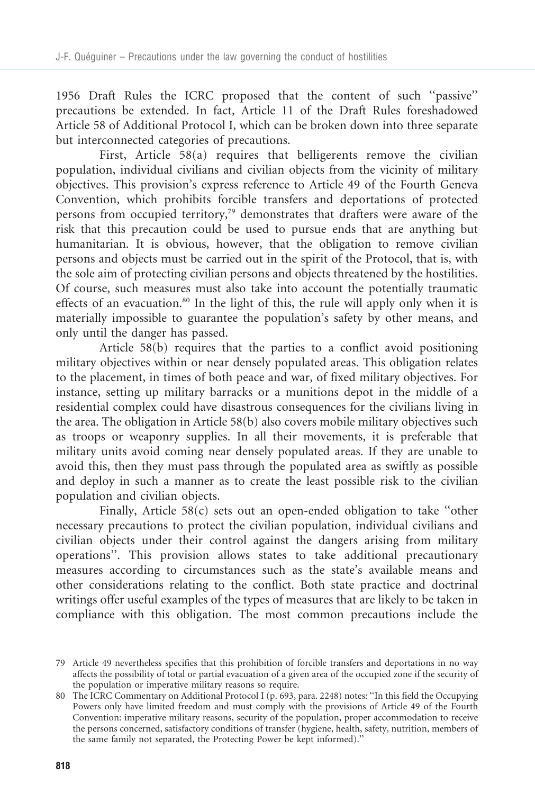1956 Draft Rules the ICRC proposed that the content of such ''passive'' precautions be extended. In fact, Article 11 of the Draft Rules foreshadowed Article 58 of Additional Protocol I, which can be broken down into three separate but interconnected categories of precautions.

First, Article 58(a) requires that belligerents remove the civilian population, individual civilians and civilian objects from the vicinity of military objectives. This provision's express reference to Article 49 of the Fourth Geneva Convention, which prohibits forcible transfers and deportations of protected persons from occupied territory,<sup>79</sup> demonstrates that drafters were aware of the risk that this precaution could be used to pursue ends that are anything but humanitarian. It is obvious, however, that the obligation to remove civilian persons and objects must be carried out in the spirit of the Protocol, that is, with the sole aim of protecting civilian persons and objects threatened by the hostilities. Of course, such measures must also take into account the potentially traumatic effects of an evacuation. $80$  In the light of this, the rule will apply only when it is materially impossible to guarantee the population's safety by other means, and only until the danger has passed.

Article 58(b) requires that the parties to a conflict avoid positioning military objectives within or near densely populated areas. This obligation relates to the placement, in times of both peace and war, of fixed military objectives. For instance, setting up military barracks or a munitions depot in the middle of a residential complex could have disastrous consequences for the civilians living in the area. The obligation in Article 58(b) also covers mobile military objectives such as troops or weaponry supplies. In all their movements, it is preferable that military units avoid coming near densely populated areas. If they are unable to avoid this, then they must pass through the populated area as swiftly as possible and deploy in such a manner as to create the least possible risk to the civilian population and civilian objects.

Finally, Article 58(c) sets out an open-ended obligation to take ''other necessary precautions to protect the civilian population, individual civilians and civilian objects under their control against the dangers arising from military operations''. This provision allows states to take additional precautionary measures according to circumstances such as the state's available means and other considerations relating to the conflict. Both state practice and doctrinal writings offer useful examples of the types of measures that are likely to be taken in compliance with this obligation. The most common precautions include the

<sup>79</sup> Article 49 nevertheless specifies that this prohibition of forcible transfers and deportations in no way affects the possibility of total or partial evacuation of a given area of the occupied zone if the security of the population or imperative military reasons so require.

<sup>80</sup> The ICRC Commentary on Additional Protocol I (p. 693, para. 2248) notes: ''In this field the Occupying Powers only have limited freedom and must comply with the provisions of Article 49 of the Fourth Convention: imperative military reasons, security of the population, proper accommodation to receive the persons concerned, satisfactory conditions of transfer (hygiene, health, safety, nutrition, members of the same family not separated, the Protecting Power be kept informed).''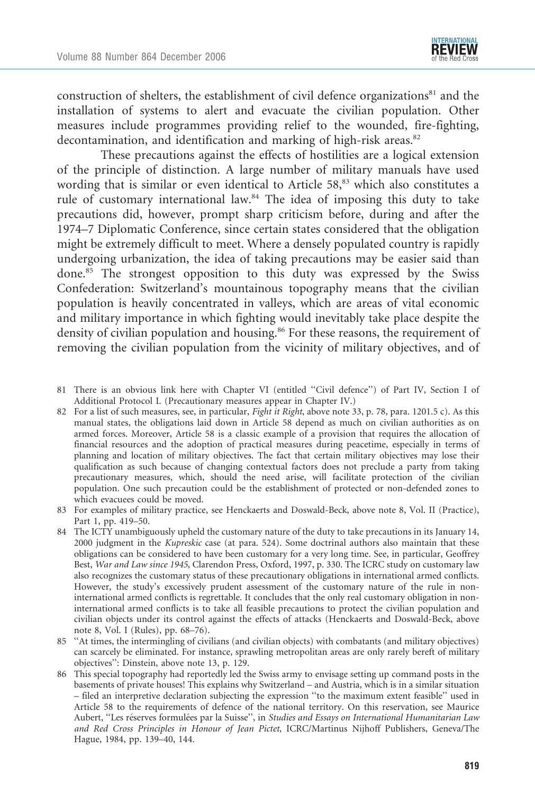construction of shelters, the establishment of civil defence organizations<sup>81</sup> and the installation of systems to alert and evacuate the civilian population. Other measures include programmes providing relief to the wounded, fire-fighting, decontamination, and identification and marking of high-risk areas.<sup>82</sup>

These precautions against the effects of hostilities are a logical extension of the principle of distinction. A large number of military manuals have used wording that is similar or even identical to Article 58,<sup>83</sup> which also constitutes a rule of customary international law.84 The idea of imposing this duty to take precautions did, however, prompt sharp criticism before, during and after the 1974–7 Diplomatic Conference, since certain states considered that the obligation might be extremely difficult to meet. Where a densely populated country is rapidly undergoing urbanization, the idea of taking precautions may be easier said than done.85 The strongest opposition to this duty was expressed by the Swiss Confederation: Switzerland's mountainous topography means that the civilian population is heavily concentrated in valleys, which are areas of vital economic and military importance in which fighting would inevitably take place despite the density of civilian population and housing.<sup>86</sup> For these reasons, the requirement of removing the civilian population from the vicinity of military objectives, and of

- 81 There is an obvious link here with Chapter VI (entitled ''Civil defence'') of Part IV, Section I of Additional Protocol I. (Precautionary measures appear in Chapter IV.)
- 82 For a list of such measures, see, in particular, Fight it Right, above note 33, p. 78, para. 1201.5 c). As this manual states, the obligations laid down in Article 58 depend as much on civilian authorities as on armed forces. Moreover, Article 58 is a classic example of a provision that requires the allocation of financial resources and the adoption of practical measures during peacetime, especially in terms of planning and location of military objectives. The fact that certain military objectives may lose their qualification as such because of changing contextual factors does not preclude a party from taking precautionary measures, which, should the need arise, will facilitate protection of the civilian population. One such precaution could be the establishment of protected or non-defended zones to which evacuees could be moved.
- 83 For examples of military practice, see Henckaerts and Doswald-Beck, above note 8, Vol. II (Practice), Part 1, pp. 419–50.
- 84 The ICTY unambiguously upheld the customary nature of the duty to take precautions in its January 14, 2000 judgment in the Kupreskic case (at para. 524). Some doctrinal authors also maintain that these obligations can be considered to have been customary for a very long time. See, in particular, Geoffrey Best, War and Law since 1945, Clarendon Press, Oxford, 1997, p. 330. The ICRC study on customary law also recognizes the customary status of these precautionary obligations in international armed conflicts. However, the study's excessively prudent assessment of the customary nature of the rule in noninternational armed conflicts is regrettable. It concludes that the only real customary obligation in noninternational armed conflicts is to take all feasible precautions to protect the civilian population and civilian objects under its control against the effects of attacks (Henckaerts and Doswald-Beck, above note 8, Vol. I (Rules), pp. 68–76).
- 85 ''At times, the intermingling of civilians (and civilian objects) with combatants (and military objectives) can scarcely be eliminated. For instance, sprawling metropolitan areas are only rarely bereft of military objectives'': Dinstein, above note 13, p. 129.
- 86 This special topography had reportedly led the Swiss army to envisage setting up command posts in the basements of private houses! This explains why Switzerland – and Austria, which is in a similar situation – filed an interpretive declaration subjecting the expression ''to the maximum extent feasible'' used in Article 58 to the requirements of defence of the national territory. On this reservation, see Maurice Aubert, "Les réserves formulées par la Suisse", in Studies and Essays on International Humanitarian Law and Red Cross Principles in Honour of Jean Pictet, ICRC/Martinus Nijhoff Publishers, Geneva/The Hague, 1984, pp. 139–40, 144.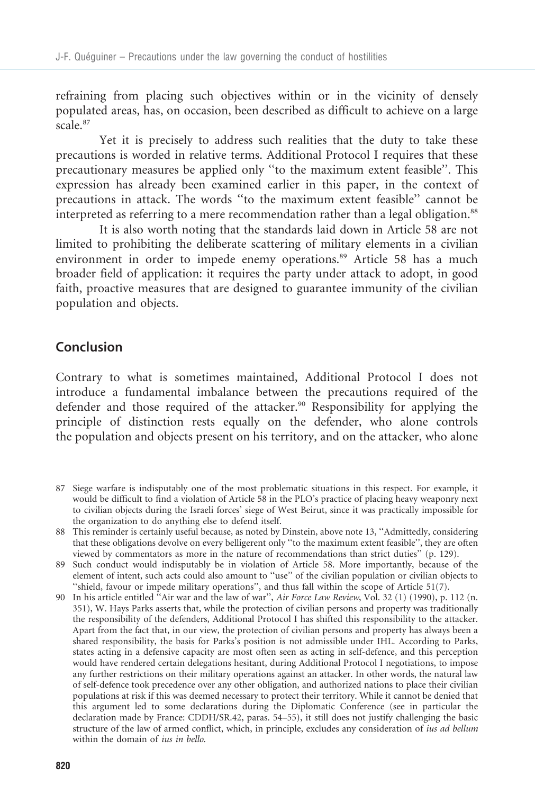refraining from placing such objectives within or in the vicinity of densely populated areas, has, on occasion, been described as difficult to achieve on a large scale.<sup>87</sup>

Yet it is precisely to address such realities that the duty to take these precautions is worded in relative terms. Additional Protocol I requires that these precautionary measures be applied only ''to the maximum extent feasible''. This expression has already been examined earlier in this paper, in the context of precautions in attack. The words ''to the maximum extent feasible'' cannot be interpreted as referring to a mere recommendation rather than a legal obligation.<sup>88</sup>

It is also worth noting that the standards laid down in Article 58 are not limited to prohibiting the deliberate scattering of military elements in a civilian environment in order to impede enemy operations.<sup>89</sup> Article 58 has a much broader field of application: it requires the party under attack to adopt, in good faith, proactive measures that are designed to guarantee immunity of the civilian population and objects.

# Conclusion

Contrary to what is sometimes maintained, Additional Protocol I does not introduce a fundamental imbalance between the precautions required of the defender and those required of the attacker.<sup>90</sup> Responsibility for applying the principle of distinction rests equally on the defender, who alone controls the population and objects present on his territory, and on the attacker, who alone

- 87 Siege warfare is indisputably one of the most problematic situations in this respect. For example, it would be difficult to find a violation of Article 58 in the PLO's practice of placing heavy weaponry next to civilian objects during the Israeli forces' siege of West Beirut, since it was practically impossible for the organization to do anything else to defend itself.
- 88 This reminder is certainly useful because, as noted by Dinstein, above note 13, ''Admittedly, considering that these obligations devolve on every belligerent only ''to the maximum extent feasible'', they are often viewed by commentators as more in the nature of recommendations than strict duties'' (p. 129).
- 89 Such conduct would indisputably be in violation of Article 58. More importantly, because of the element of intent, such acts could also amount to ''use'' of the civilian population or civilian objects to "shield, favour or impede military operations", and thus fall within the scope of Article 51(7).
- 90 In his article entitled ''Air war and the law of war'', Air Force Law Review, Vol. 32 (1) (1990), p. 112 (n. 351), W. Hays Parks asserts that, while the protection of civilian persons and property was traditionally the responsibility of the defenders, Additional Protocol I has shifted this responsibility to the attacker. Apart from the fact that, in our view, the protection of civilian persons and property has always been a shared responsibility, the basis for Parks's position is not admissible under IHL. According to Parks, states acting in a defensive capacity are most often seen as acting in self-defence, and this perception would have rendered certain delegations hesitant, during Additional Protocol I negotiations, to impose any further restrictions on their military operations against an attacker. In other words, the natural law of self-defence took precedence over any other obligation, and authorized nations to place their civilian populations at risk if this was deemed necessary to protect their territory. While it cannot be denied that this argument led to some declarations during the Diplomatic Conference (see in particular the declaration made by France: CDDH/SR.42, paras. 54–55), it still does not justify challenging the basic structure of the law of armed conflict, which, in principle, excludes any consideration of ius ad bellum within the domain of ius in bello.